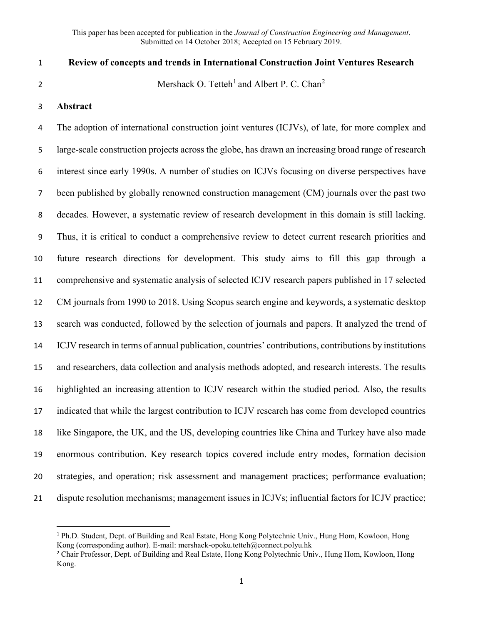https://doi.org/10.1061/(ASCE)CO.1943-7862.0001693 •ÎÏÙÚÎ˙؀ÛÈÒÏÙÎËÊŸØÙÏÕÔh

 $\overline{\phantom{a}}$ 

This paper has been accepted for publication in the *Journal of Construction Engineering and Management*. Submitted on 14 October 2018; Accepted on 15 February 2019.

# **Review of concepts and trends in International Construction Joint Ventures Research** 2 Mershack O. Tetteh<sup>[1](#page-0-0)</sup> and Albert P. C. Chan<sup>[2](#page-0-1)</sup> **Abstract** The adoption of international construction joint ventures (ICJVs), of late, for more complex and large-scale construction projects across the globe, has drawn an increasing broad range of research interest since early 1990s. A number of studies on ICJVs focusing on diverse perspectives have been published by globally renowned construction management (CM) journals over the past two decades. However, a systematic review of research development in this domain is still lacking. Thus, it is critical to conduct a comprehensive review to detect current research priorities and future research directions for development. This study aims to fill this gap through a comprehensive and systematic analysis of selected ICJV research papers published in 17 selected CM journals from 1990 to 2018. Using Scopus search engine and keywords, a systematic desktop search was conducted, followed by the selection of journals and papers. It analyzed the trend of ICJV research in terms of annual publication, countries' contributions, contributions by institutions and researchers, data collection and analysis methods adopted, and research interests. The results highlighted an increasing attention to ICJV research within the studied period. Also, the results indicated that while the largest contribution to ICJV research has come from developed countries like Singapore, the UK, and the US, developing countries like China and Turkey have also made enormous contribution. Key research topics covered include entry modes, formation decision strategies, and operation; risk assessment and management practices; performance evaluation; dispute resolution mechanisms; management issues in ICJVs; influential factors for ICJV practice;

<span id="page-0-0"></span><sup>&</sup>lt;sup>1</sup> Ph.D. Student, Dept. of Building and Real Estate, Hong Kong Polytechnic Univ., Hung Hom, Kowloon, Hong Kong (corresponding author). E-mail: mershack-opoku.tetteh@connect.polyu.hk

<span id="page-0-1"></span><sup>&</sup>lt;sup>2</sup> Chair Professor, Dept. of Building and Real Estate, Hong Kong Polytechnic Univ., Hung Hom, Kowloon, Hong Kong.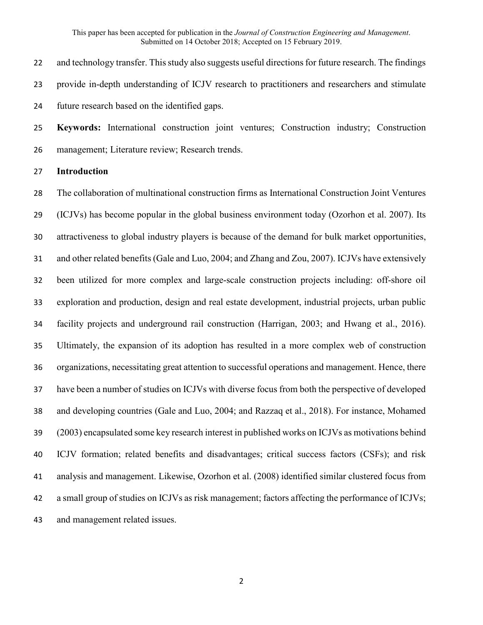and technology transfer. This study also suggests useful directions for future research. The findings provide in-depth understanding of ICJV research to practitioners and researchers and stimulate future research based on the identified gaps.

 **Keywords:** International construction joint ventures; Construction industry; Construction management; Literature review; Research trends.

## **Introduction**

 The collaboration of multinational construction firms as International Construction Joint Ventures (ICJVs) has become popular in the global business environment today (Ozorhon et al. 2007). Its attractiveness to global industry players is because of the demand for bulk market opportunities, and other related benefits (Gale and Luo, 2004; and Zhang and Zou, 2007). ICJVs have extensively been utilized for more complex and large-scale construction projects including: off-shore oil exploration and production, design and real estate development, industrial projects, urban public facility projects and underground rail construction (Harrigan, 2003; and Hwang et al., 2016). Ultimately, the expansion of its adoption has resulted in a more complex web of construction organizations, necessitating great attention to successful operations and management. Hence, there have been a number of studies on ICJVs with diverse focus from both the perspective of developed and developing countries (Gale and Luo, 2004; and Razzaq et al., 2018). For instance, Mohamed (2003) encapsulated some key research interest in published works on ICJVs as motivations behind ICJV formation; related benefits and disadvantages; critical success factors (CSFs); and risk analysis and management. Likewise, Ozorhon et al. (2008) identified similar clustered focus from a small group of studies on ICJVs as risk management; factors affecting the performance of ICJVs; and management related issues.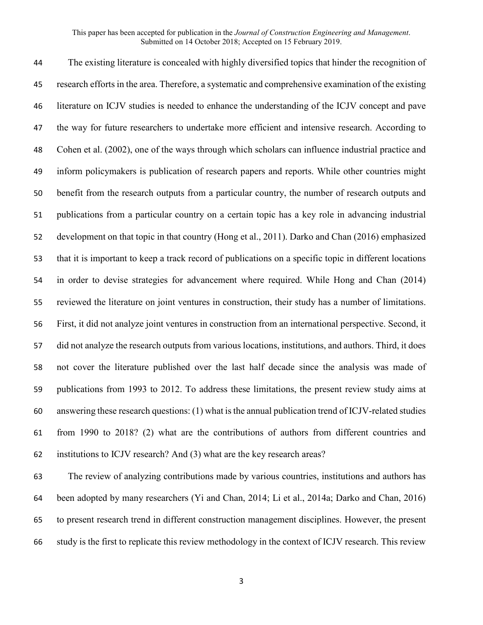The existing literature is concealed with highly diversified topics that hinder the recognition of research efforts in the area. Therefore, a systematic and comprehensive examination of the existing literature on ICJV studies is needed to enhance the understanding of the ICJV concept and pave the way for future researchers to undertake more efficient and intensive research. According to Cohen et al. (2002), one of the ways through which scholars can influence industrial practice and inform policymakers is publication of research papers and reports. While other countries might benefit from the research outputs from a particular country, the number of research outputs and publications from a particular country on a certain topic has a key role in advancing industrial development on that topic in that country (Hong et al., 2011). Darko and Chan (2016) emphasized that it is important to keep a track record of publications on a specific topic in different locations in order to devise strategies for advancement where required. While Hong and Chan (2014) reviewed the literature on joint ventures in construction, their study has a number of limitations. First, it did not analyze joint ventures in construction from an international perspective. Second, it did not analyze the research outputs from various locations, institutions, and authors. Third, it does not cover the literature published over the last half decade since the analysis was made of publications from 1993 to 2012. To address these limitations, the present review study aims at answering these research questions: (1) what is the annual publication trend of ICJV-related studies from 1990 to 2018? (2) what are the contributions of authors from different countries and institutions to ICJV research? And (3) what are the key research areas?

 The review of analyzing contributions made by various countries, institutions and authors has been adopted by many researchers (Yi and Chan, 2014; Li et al., 2014a; Darko and Chan, 2016) to present research trend in different construction management disciplines. However, the present study is the first to replicate this review methodology in the context of ICJV research. This review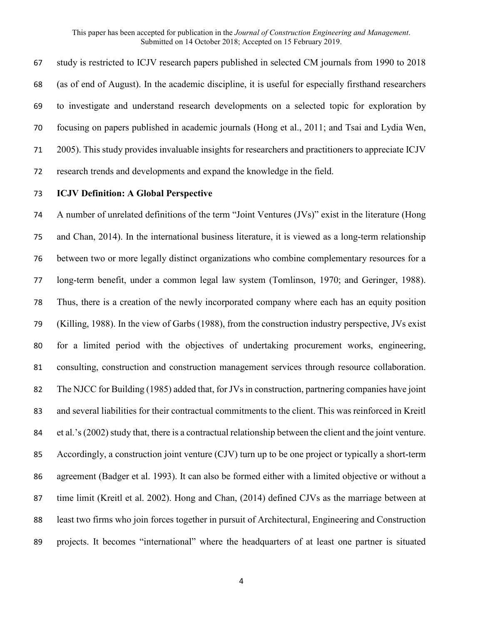study is restricted to ICJV research papers published in selected CM journals from 1990 to 2018 (as of end of August). In the academic discipline, it is useful for especially firsthand researchers to investigate and understand research developments on a selected topic for exploration by focusing on papers published in academic journals (Hong et al., 2011; and Tsai and Lydia Wen, 2005). This study provides invaluable insights for researchers and practitioners to appreciate ICJV research trends and developments and expand the knowledge in the field.

# **ICJV Definition: A Global Perspective**

 A number of unrelated definitions of the term "Joint Ventures (JVs)" exist in the literature (Hong and Chan, 2014). In the international business literature, it is viewed as a long-term relationship between two or more legally distinct organizations who combine complementary resources for a long-term benefit, under a common legal law system (Tomlinson, 1970; and Geringer, 1988). Thus, there is a creation of the newly incorporated company where each has an equity position (Killing, 1988). In the view of Garbs (1988), from the construction industry perspective, JVs exist for a limited period with the objectives of undertaking procurement works, engineering, consulting, construction and construction management services through resource collaboration. The NJCC for Building (1985) added that, for JVs in construction, partnering companies have joint and several liabilities for their contractual commitments to the client. This was reinforced in Kreitl 84 et al.'s (2002) study that, there is a contractual relationship between the client and the joint venture. Accordingly, a construction joint venture (CJV) turn up to be one project or typically a short-term agreement (Badger et al. 1993). It can also be formed either with a limited objective or without a time limit (Kreitl et al. 2002). Hong and Chan, (2014) defined CJVs as the marriage between at least two firms who join forces together in pursuit of Architectural, Engineering and Construction projects. It becomes "international" where the headquarters of at least one partner is situated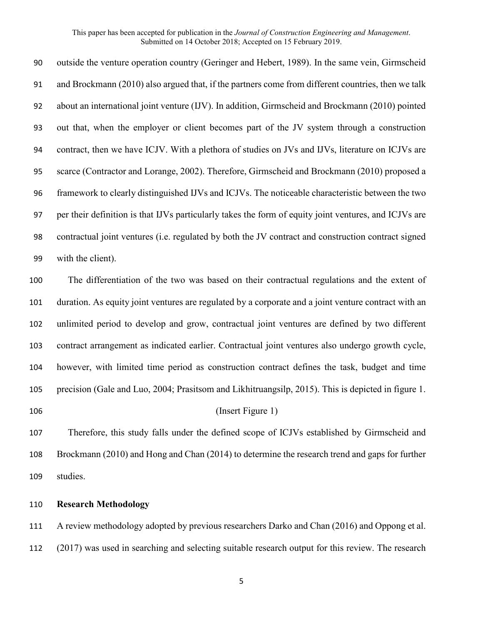outside the venture operation country (Geringer and Hebert, 1989). In the same vein, Girmscheid and Brockmann (2010) also argued that, if the partners come from different countries, then we talk about an international joint venture (IJV). In addition, Girmscheid and Brockmann (2010) pointed out that, when the employer or client becomes part of the JV system through a construction contract, then we have ICJV. With a plethora of studies on JVs and IJVs, literature on ICJVs are scarce (Contractor and Lorange, 2002). Therefore, Girmscheid and Brockmann (2010) proposed a framework to clearly distinguished IJVs and ICJVs. The noticeable characteristic between the two per their definition is that IJVs particularly takes the form of equity joint ventures, and ICJVs are contractual joint ventures (i.e. regulated by both the JV contract and construction contract signed with the client). The differentiation of the two was based on their contractual regulations and the extent of duration. As equity joint ventures are regulated by a corporate and a joint venture contract with an unlimited period to develop and grow, contractual joint ventures are defined by two different contract arrangement as indicated earlier. Contractual joint ventures also undergo growth cycle, however, with limited time period as construction contract defines the task, budget and time precision (Gale and Luo, 2004; Prasitsom and Likhitruangsilp, 2015). This is depicted in figure 1. (Insert Figure 1)

 Therefore, this study falls under the defined scope of ICJVs established by Girmscheid and Brockmann (2010) and Hong and Chan (2014) to determine the research trend and gaps for further studies.

**Research Methodology**

 A review methodology adopted by previous researchers Darko and Chan (2016) and Oppong et al. (2017) was used in searching and selecting suitable research output for this review. The research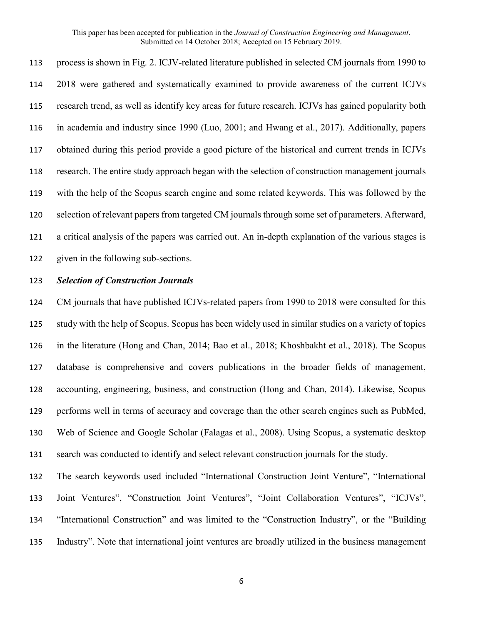process is shown in Fig. 2. ICJV-related literature published in selected CM journals from 1990 to 2018 were gathered and systematically examined to provide awareness of the current ICJVs research trend, as well as identify key areas for future research. ICJVs has gained popularity both in academia and industry since 1990 (Luo, 2001; and Hwang et al., 2017). Additionally, papers obtained during this period provide a good picture of the historical and current trends in ICJVs research. The entire study approach began with the selection of construction management journals with the help of the Scopus search engine and some related keywords. This was followed by the selection of relevant papers from targeted CM journals through some set of parameters. Afterward, a critical analysis of the papers was carried out. An in-depth explanation of the various stages is given in the following sub-sections.

# *Selection of Construction Journals*

 CM journals that have published ICJVs-related papers from 1990 to 2018 were consulted for this study with the help of Scopus. Scopus has been widely used in similar studies on a variety of topics in the literature (Hong and Chan, 2014; Bao et al., 2018; Khoshbakht et al., 2018). The Scopus database is comprehensive and covers publications in the broader fields of management, accounting, engineering, business, and construction (Hong and Chan, 2014). Likewise, Scopus performs well in terms of accuracy and coverage than the other search engines such as PubMed, Web of Science and Google Scholar (Falagas et al., 2008). Using Scopus, a systematic desktop search was conducted to identify and select relevant construction journals for the study.

 The search keywords used included "International Construction Joint Venture", "International Joint Ventures", "Construction Joint Ventures", "Joint Collaboration Ventures", "ICJVs", "International Construction" and was limited to the "Construction Industry", or the "Building Industry". Note that international joint ventures are broadly utilized in the business management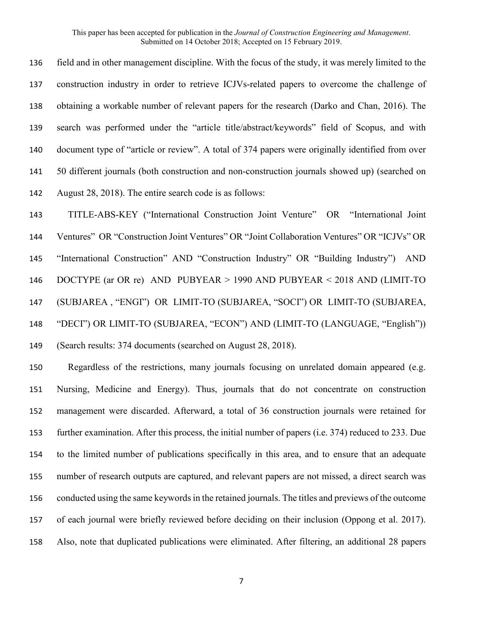field and in other management discipline. With the focus of the study, it was merely limited to the construction industry in order to retrieve ICJVs-related papers to overcome the challenge of obtaining a workable number of relevant papers for the research (Darko and Chan, 2016). The search was performed under the "article title/abstract/keywords" field of Scopus, and with document type of "article or review". A total of 374 papers were originally identified from over 50 different journals (both construction and non-construction journals showed up) (searched on August 28, 2018). The entire search code is as follows:

 TITLE-ABS-KEY ("International Construction Joint Venture" OR "International Joint Ventures" OR "Construction Joint Ventures" OR "Joint Collaboration Ventures" OR "ICJVs" OR "International Construction" AND "Construction Industry" OR "Building Industry") AND DOCTYPE (ar OR re) AND PUBYEAR > 1990 AND PUBYEAR < 2018 AND (LIMIT-TO (SUBJAREA , "ENGI") OR LIMIT-TO (SUBJAREA, "SOCI") OR LIMIT-TO (SUBJAREA, "DECI") OR LIMIT-TO (SUBJAREA, "ECON") AND (LIMIT-TO (LANGUAGE, "English")) (Search results: 374 documents (searched on August 28, 2018).

 Regardless of the restrictions, many journals focusing on unrelated domain appeared (e.g. Nursing, Medicine and Energy). Thus, journals that do not concentrate on construction management were discarded. Afterward, a total of 36 construction journals were retained for further examination. After this process, the initial number of papers (i.e. 374) reduced to 233. Due to the limited number of publications specifically in this area, and to ensure that an adequate number of research outputs are captured, and relevant papers are not missed, a direct search was conducted using the same keywords in the retained journals. The titles and previews of the outcome of each journal were briefly reviewed before deciding on their inclusion (Oppong et al. 2017). Also, note that duplicated publications were eliminated. After filtering, an additional 28 papers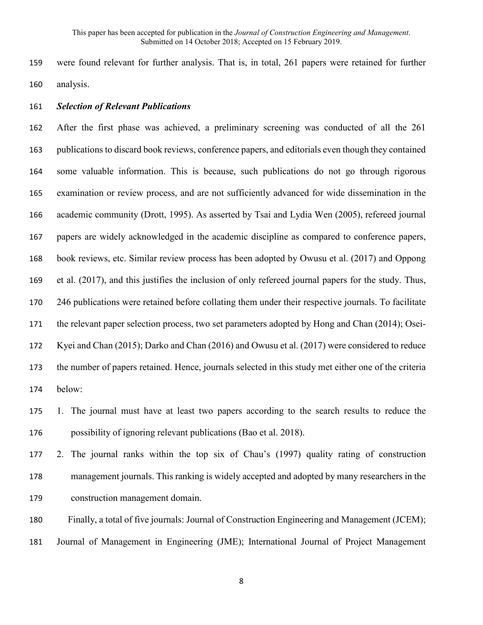were found relevant for further analysis. That is, in total, 261 papers were retained for further analysis.

# *Selection of Relevant Publications*

 After the first phase was achieved, a preliminary screening was conducted of all the 261 publications to discard book reviews, conference papers, and editorials even though they contained some valuable information. This is because, such publications do not go through rigorous examination or review process, and are not sufficiently advanced for wide dissemination in the academic community (Drott, 1995). As asserted by Tsai and Lydia Wen (2005), refereed journal papers are widely acknowledged in the academic discipline as compared to conference papers, book reviews, etc. Similar review process has been adopted by Owusu et al. (2017) and Oppong et al. (2017), and this justifies the inclusion of only refereed journal papers for the study. Thus, 246 publications were retained before collating them under their respective journals. To facilitate the relevant paper selection process, two set parameters adopted by Hong and Chan (2014); Osei- Kyei and Chan (2015); Darko and Chan (2016) and Owusu et al. (2017) were considered to reduce the number of papers retained. Hence, journals selected in this study met either one of the criteria below:

 1. The journal must have at least two papers according to the search results to reduce the possibility of ignoring relevant publications (Bao et al. 2018).

 2. The journal ranks within the top six of Chau's (1997) quality rating of construction management journals. This ranking is widely accepted and adopted by many researchers in the construction management domain.

 Finally, a total of five journals: Journal of Construction Engineering and Management (JCEM); Journal of Management in Engineering (JME); International Journal of Project Management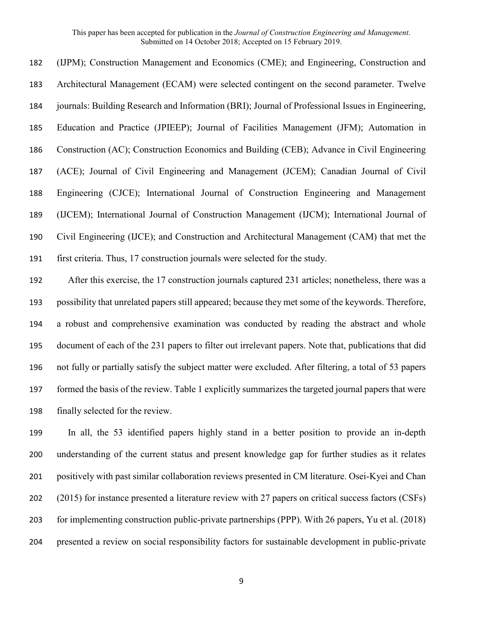(IJPM); Construction Management and Economics (CME); and Engineering, Construction and Architectural Management (ECAM) were selected contingent on the second parameter. Twelve journals: Building Research and Information (BRI); Journal of Professional Issues in Engineering, Education and Practice (JPIEEP); Journal of Facilities Management (JFM); Automation in Construction (AC); Construction Economics and Building (CEB); Advance in Civil Engineering (ACE); Journal of Civil Engineering and Management (JCEM); Canadian Journal of Civil Engineering (CJCE); International Journal of Construction Engineering and Management (IJCEM); International Journal of Construction Management (IJCM); International Journal of Civil Engineering (IJCE); and Construction and Architectural Management (CAM) that met the first criteria. Thus, 17 construction journals were selected for the study. After this exercise, the 17 construction journals captured 231 articles; nonetheless, there was a

 possibility that unrelated papers still appeared; because they met some of the keywords. Therefore, a robust and comprehensive examination was conducted by reading the abstract and whole document of each of the 231 papers to filter out irrelevant papers. Note that, publications that did not fully or partially satisfy the subject matter were excluded. After filtering, a total of 53 papers formed the basis of the review. Table 1 explicitly summarizes the targeted journal papers that were finally selected for the review.

 In all, the 53 identified papers highly stand in a better position to provide an in-depth understanding of the current status and present knowledge gap for further studies as it relates positively with past similar collaboration reviews presented in CM literature. Osei-Kyei and Chan (2015) for instance presented a literature review with 27 papers on critical success factors (CSFs) for implementing construction public-private partnerships (PPP). With 26 papers, Yu et al. (2018) presented a review on social responsibility factors for sustainable development in public-private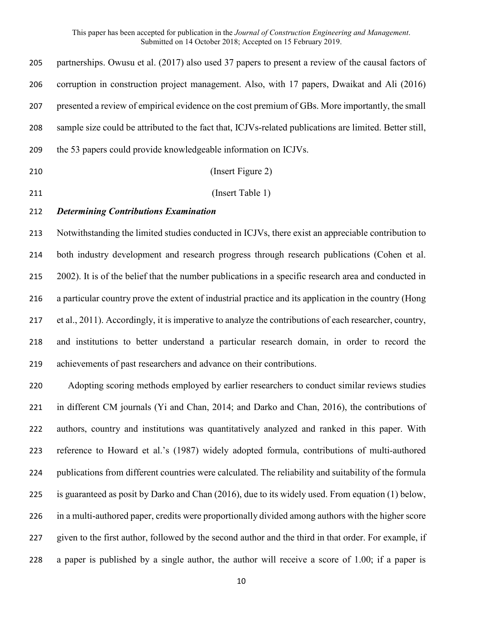| 205 | partnerships. Owusu et al. (2017) also used 37 papers to present a review of the causal factors of      |
|-----|---------------------------------------------------------------------------------------------------------|
| 206 | corruption in construction project management. Also, with 17 papers, Dwaikat and Ali (2016)             |
| 207 | presented a review of empirical evidence on the cost premium of GBs. More importantly, the small        |
| 208 | sample size could be attributed to the fact that, ICJVs-related publications are limited. Better still, |
| 209 | the 53 papers could provide knowledgeable information on ICJVs.                                         |
| 210 | (Insert Figure 2)                                                                                       |
| 211 | (Insert Table 1)                                                                                        |
| 212 | <b>Determining Contributions Examination</b>                                                            |
| 213 | Notwithstanding the limited studies conducted in ICJVs, there exist an appreciable contribution to      |
| 214 | both industry development and research progress through research publications (Cohen et al.             |
| 215 | 2002). It is of the belief that the number publications in a specific research area and conducted in    |
| 216 | a particular country prove the extent of industrial practice and its application in the country (Hong   |
| 217 | et al., 2011). Accordingly, it is imperative to analyze the contributions of each researcher, country,  |
| 218 | and institutions to better understand a particular research domain, in order to record the              |
| 219 | achievements of past researchers and advance on their contributions.                                    |
| 220 | Adopting scoring methods employed by earlier researchers to conduct similar reviews studies             |
| 221 | in different CM journals (Yi and Chan, 2014; and Darko and Chan, 2016), the contributions of            |
| 222 | authors, country and institutions was quantitatively analyzed and ranked in this paper. With            |
| 223 | reference to Howard et al.'s (1987) widely adopted formula, contributions of multi-authored             |
| 224 | publications from different countries were calculated. The reliability and suitability of the formula   |
| 225 | is guaranteed as posit by Darko and Chan (2016), due to its widely used. From equation (1) below,       |
| 226 | in a multi-authored paper, credits were proportionally divided among authors with the higher score      |
| 227 | given to the first author, followed by the second author and the third in that order. For example, if   |

a paper is published by a single author, the author will receive a score of 1.00; if a paper is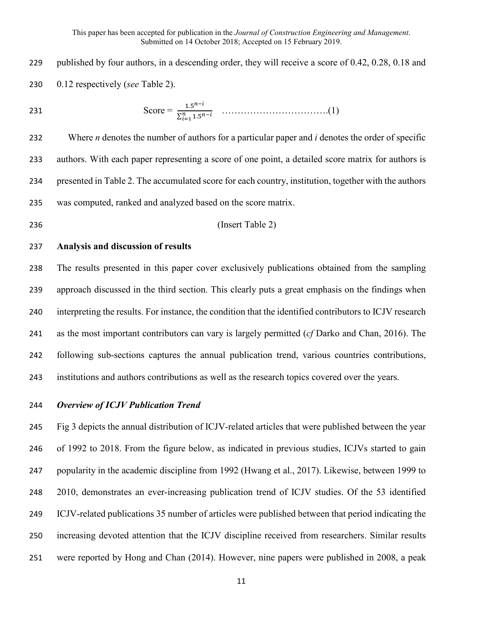published by four authors, in a descending order, they will receive a score of 0.42, 0.28, 0.18 and 0.12 respectively (*see* Table 2).

Score = 1.5− ∑ 1.5 − =1 …………………………….(1)

 Where *n* denotes the number of authors for a particular paper and *i* denotes the order of specific authors. With each paper representing a score of one point, a detailed score matrix for authors is presented in Table 2. The accumulated score for each country, institution, together with the authors was computed, ranked and analyzed based on the score matrix.

(Insert Table 2)

# **Analysis and discussion of results**

 The results presented in this paper cover exclusively publications obtained from the sampling approach discussed in the third section. This clearly puts a great emphasis on the findings when interpreting the results. For instance, the condition that the identified contributors to ICJV research as the most important contributors can vary is largely permitted (*cf* Darko and Chan, 2016). The following sub-sections captures the annual publication trend, various countries contributions, institutions and authors contributions as well as the research topics covered over the years.

# *Overview of ICJV Publication Trend*

 Fig 3 depicts the annual distribution of ICJV-related articles that were published between the year of 1992 to 2018. From the figure below, as indicated in previous studies, ICJVs started to gain popularity in the academic discipline from 1992 (Hwang et al., 2017). Likewise, between 1999 to 2010, demonstrates an ever-increasing publication trend of ICJV studies. Of the 53 identified ICJV-related publications 35 number of articles were published between that period indicating the increasing devoted attention that the ICJV discipline received from researchers. Similar results were reported by Hong and Chan (2014). However, nine papers were published in 2008, a peak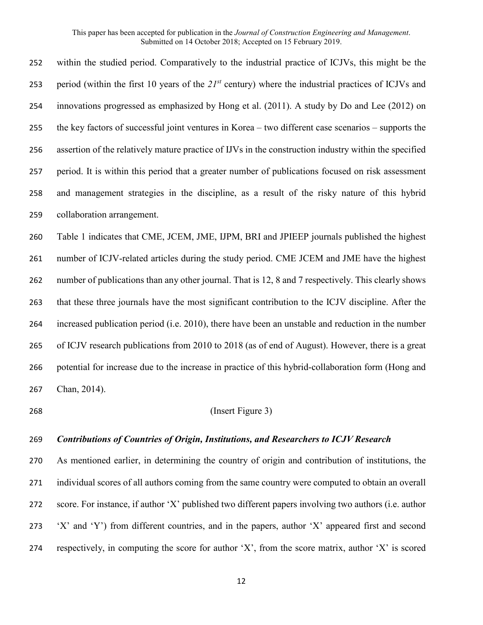within the studied period. Comparatively to the industrial practice of ICJVs, this might be the 253 period (within the first 10 years of the  $21^{st}$  century) where the industrial practices of ICJVs and innovations progressed as emphasized by Hong et al. (2011). A study by Do and Lee (2012) on the key factors of successful joint ventures in Korea – two different case scenarios – supports the assertion of the relatively mature practice of IJVs in the construction industry within the specified period. It is within this period that a greater number of publications focused on risk assessment and management strategies in the discipline, as a result of the risky nature of this hybrid collaboration arrangement.

 Table 1 indicates that CME, JCEM, JME, IJPM, BRI and JPIEEP journals published the highest number of ICJV-related articles during the study period. CME JCEM and JME have the highest number of publications than any other journal. That is 12, 8 and 7 respectively. This clearly shows that these three journals have the most significant contribution to the ICJV discipline. After the increased publication period (i.e. 2010), there have been an unstable and reduction in the number of ICJV research publications from 2010 to 2018 (as of end of August). However, there is a great potential for increase due to the increase in practice of this hybrid-collaboration form (Hong and Chan, 2014).

# (Insert Figure 3)

## *Contributions of Countries of Origin, Institutions, and Researchers to ICJV Research*

 As mentioned earlier, in determining the country of origin and contribution of institutions, the individual scores of all authors coming from the same country were computed to obtain an overall score. For instance, if author 'X' published two different papers involving two authors (i.e. author 'X' and 'Y') from different countries, and in the papers, author 'X' appeared first and second 274 respectively, in computing the score for author 'X', from the score matrix, author 'X' is scored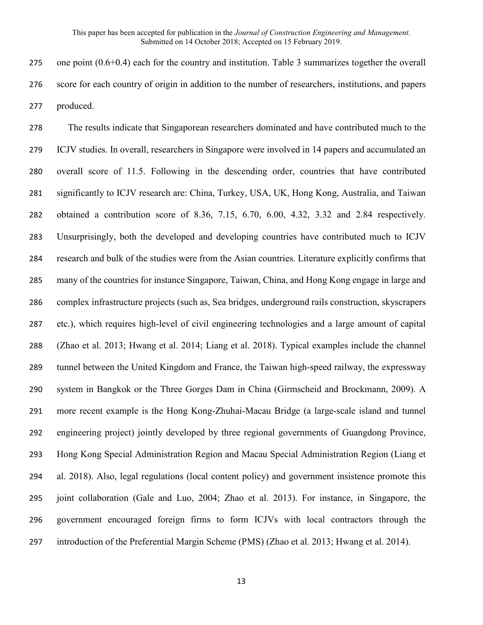one point (0.6+0.4) each for the country and institution. Table 3 summarizes together the overall score for each country of origin in addition to the number of researchers, institutions, and papers produced.

 The results indicate that Singaporean researchers dominated and have contributed much to the ICJV studies. In overall, researchers in Singapore were involved in 14 papers and accumulated an overall score of 11.5. Following in the descending order, countries that have contributed significantly to ICJV research are: China, Turkey, USA, UK, Hong Kong, Australia, and Taiwan obtained a contribution score of 8.36, 7.15, 6.70, 6.00, 4.32, 3.32 and 2.84 respectively. Unsurprisingly, both the developed and developing countries have contributed much to ICJV research and bulk of the studies were from the Asian countries. Literature explicitly confirms that many of the countries for instance Singapore, Taiwan, China, and Hong Kong engage in large and complex infrastructure projects (such as, Sea bridges, underground rails construction, skyscrapers etc.), which requires high-level of civil engineering technologies and a large amount of capital (Zhao et al. 2013; Hwang et al. 2014; Liang et al. 2018). Typical examples include the channel tunnel between the United Kingdom and France, the Taiwan high-speed railway, the expressway system in Bangkok or the Three Gorges Dam in China (Girmscheid and Brockmann, 2009). A more recent example is the Hong Kong-Zhuhai-Macau Bridge (a large-scale island and tunnel engineering project) jointly developed by three regional governments of Guangdong Province, Hong Kong Special Administration Region and Macau Special Administration Region (Liang et al. 2018). Also, legal regulations (local content policy) and government insistence promote this joint collaboration (Gale and Luo, 2004; Zhao et al. 2013). For instance, in Singapore, the government encouraged foreign firms to form ICJVs with local contractors through the introduction of the Preferential Margin Scheme (PMS) (Zhao et al. 2013; Hwang et al. 2014).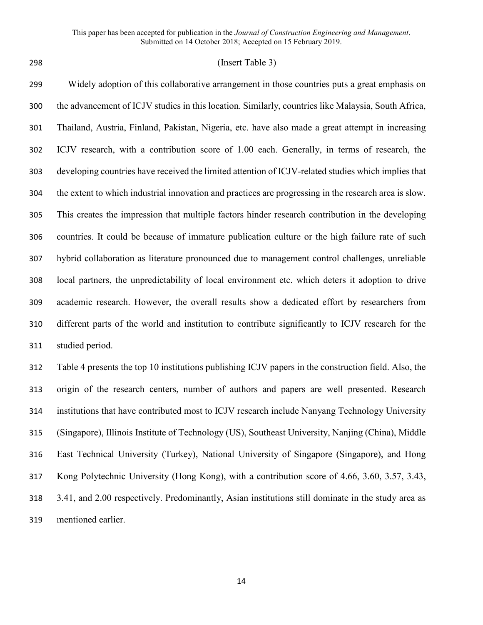# (Insert Table 3)

 Widely adoption of this collaborative arrangement in those countries puts a great emphasis on the advancement of ICJV studies in this location. Similarly, countries like Malaysia, South Africa, Thailand, Austria, Finland, Pakistan, Nigeria, etc. have also made a great attempt in increasing ICJV research, with a contribution score of 1.00 each. Generally, in terms of research, the developing countries have received the limited attention of ICJV-related studies which implies that the extent to which industrial innovation and practices are progressing in the research area is slow. This creates the impression that multiple factors hinder research contribution in the developing countries. It could be because of immature publication culture or the high failure rate of such hybrid collaboration as literature pronounced due to management control challenges, unreliable local partners, the unpredictability of local environment etc. which deters it adoption to drive academic research. However, the overall results show a dedicated effort by researchers from different parts of the world and institution to contribute significantly to ICJV research for the studied period.

 Table 4 presents the top 10 institutions publishing ICJV papers in the construction field. Also, the origin of the research centers, number of authors and papers are well presented. Research institutions that have contributed most to ICJV research include Nanyang Technology University (Singapore), Illinois Institute of Technology (US), Southeast University, Nanjing (China), Middle East Technical University (Turkey), National University of Singapore (Singapore), and Hong Kong Polytechnic University (Hong Kong), with a contribution score of 4.66, 3.60, 3.57, 3.43, 3.41, and 2.00 respectively. Predominantly, Asian institutions still dominate in the study area as mentioned earlier.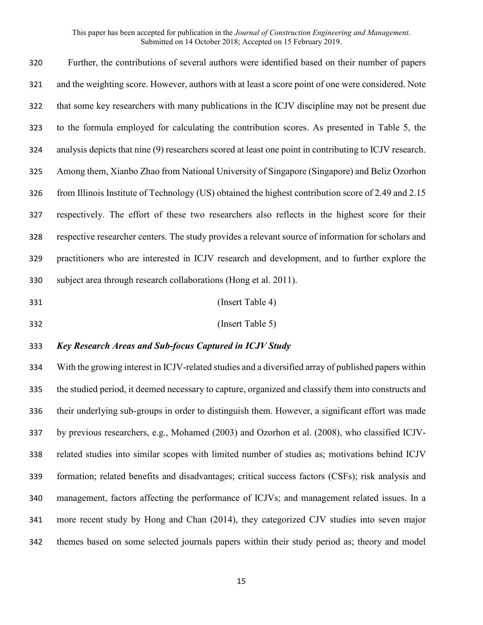| 320 | Further, the contributions of several authors were identified based on their number of papers          |
|-----|--------------------------------------------------------------------------------------------------------|
| 321 | and the weighting score. However, authors with at least a score point of one were considered. Note     |
| 322 | that some key researchers with many publications in the ICJV discipline may not be present due         |
| 323 | to the formula employed for calculating the contribution scores. As presented in Table 5, the          |
| 324 | analysis depicts that nine (9) researchers scored at least one point in contributing to ICJV research. |
| 325 | Among them, Xianbo Zhao from National University of Singapore (Singapore) and Beliz Ozorhon            |
| 326 | from Illinois Institute of Technology (US) obtained the highest contribution score of 2.49 and 2.15    |
| 327 | respectively. The effort of these two researchers also reflects in the highest score for their         |
| 328 | respective researcher centers. The study provides a relevant source of information for scholars and    |
| 329 | practitioners who are interested in ICJV research and development, and to further explore the          |
| 330 | subject area through research collaborations (Hong et al. 2011).                                       |
| 331 | (Insert Table 4)                                                                                       |
| 332 | (Insert Table 5)                                                                                       |
| 333 | <b>Key Research Areas and Sub-focus Captured in ICJV Study</b>                                         |
| 334 | With the growing interest in ICJV-related studies and a diversified array of published papers within   |
| 335 | the studied period, it deemed necessary to capture, organized and classify them into constructs and    |
| 336 | their underlying sub-groups in order to distinguish them. However, a significant effort was made       |
| 337 | by previous researchers, e.g., Mohamed (2003) and Ozorhon et al. (2008), who classified ICJV-          |
| 338 | related studies into similar scopes with limited number of studies as; motivations behind ICJV         |
| 339 | formation; related benefits and disadvantages; critical success factors (CSFs); risk analysis and      |
| 340 | management, factors affecting the performance of ICJVs; and management related issues. In a            |
| 341 | more recent study by Hong and Chan (2014), they categorized CJV studies into seven major               |
| 342 | themes based on some selected journals papers within their study period as; theory and model           |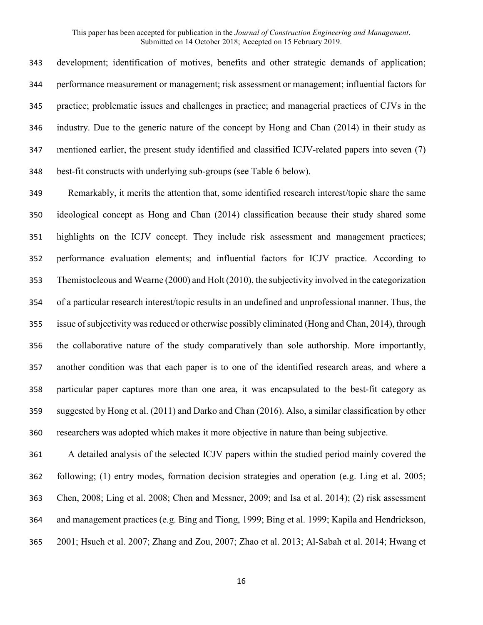development; identification of motives, benefits and other strategic demands of application; performance measurement or management; risk assessment or management; influential factors for practice; problematic issues and challenges in practice; and managerial practices of CJVs in the industry. Due to the generic nature of the concept by Hong and Chan (2014) in their study as mentioned earlier, the present study identified and classified ICJV-related papers into seven (7) best-fit constructs with underlying sub-groups (see Table 6 below).

 Remarkably, it merits the attention that, some identified research interest/topic share the same ideological concept as Hong and Chan (2014) classification because their study shared some highlights on the ICJV concept. They include risk assessment and management practices; performance evaluation elements; and influential factors for ICJV practice. According to Themistocleous and Wearne (2000) and Holt (2010), the subjectivity involved in the categorization of a particular research interest/topic results in an undefined and unprofessional manner. Thus, the 355 issue of subjectivity was reduced or otherwise possibly eliminated (Hong and Chan, 2014), through the collaborative nature of the study comparatively than sole authorship. More importantly, another condition was that each paper is to one of the identified research areas, and where a particular paper captures more than one area, it was encapsulated to the best-fit category as suggested by Hong et al. (2011) and Darko and Chan (2016). Also, a similar classification by other researchers was adopted which makes it more objective in nature than being subjective.

 A detailed analysis of the selected ICJV papers within the studied period mainly covered the following; (1) entry modes, formation decision strategies and operation (e.g. Ling et al. 2005; Chen, 2008; Ling et al. 2008; Chen and Messner, 2009; and Isa et al. 2014); (2) risk assessment and management practices (e.g. Bing and Tiong, 1999; Bing et al. 1999; Kapila and Hendrickson, 2001; Hsueh et al. 2007; Zhang and Zou, 2007; Zhao et al. 2013; Al-Sabah et al. 2014; Hwang et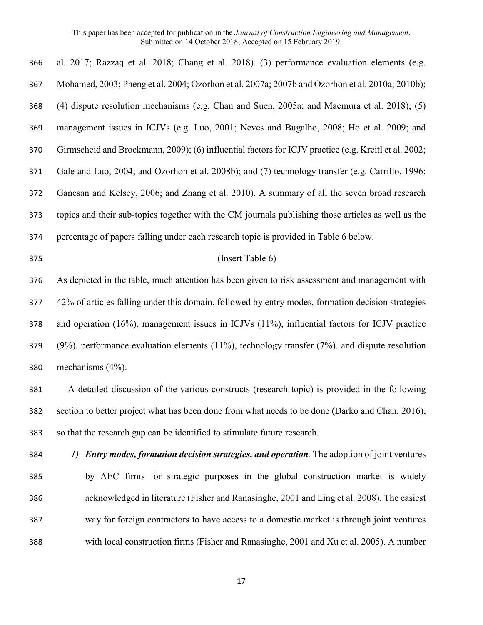al. 2017; Razzaq et al. 2018; Chang et al. 2018). (3) performance evaluation elements (e.g. Mohamed, 2003; Pheng et al. 2004; Ozorhon et al. 2007a; 2007b and Ozorhon et al. 2010a; 2010b); (4) dispute resolution mechanisms (e.g. Chan and Suen, 2005a; and Maemura et al. 2018); (5) management issues in ICJVs (e.g. Luo, 2001; Neves and Bugalho, 2008; Ho et al. 2009; and Girmscheid and Brockmann, 2009); (6) influential factors for ICJV practice (e.g. Kreitl et al. 2002; Gale and Luo, 2004; and Ozorhon et al. 2008b); and (7) technology transfer (e.g. Carrillo, 1996; Ganesan and Kelsey, 2006; and Zhang et al. 2010). A summary of all the seven broad research topics and their sub-topics together with the CM journals publishing those articles as well as the percentage of papers falling under each research topic is provided in Table 6 below. (Insert Table 6) As depicted in the table, much attention has been given to risk assessment and management with 42% of articles falling under this domain, followed by entry modes, formation decision strategies and operation (16%), management issues in ICJVs (11%), influential factors for ICJV practice 379 (9%), performance evaluation elements  $(11\%)$ , technology transfer  $(7\%)$ . and dispute resolution mechanisms (4%). A detailed discussion of the various constructs (research topic) is provided in the following section to better project what has been done from what needs to be done (Darko and Chan, 2016), so that the research gap can be identified to stimulate future research. *1) Entry modes, formation decision strategies, and operation.* The adoption of joint ventures by AEC firms for strategic purposes in the global construction market is widely acknowledged in literature (Fisher and Ranasinghe, 2001 and Ling et al. 2008). The easiest way for foreign contractors to have access to a domestic market is through joint ventures

with local construction firms (Fisher and Ranasinghe, 2001 and Xu et al. 2005). A number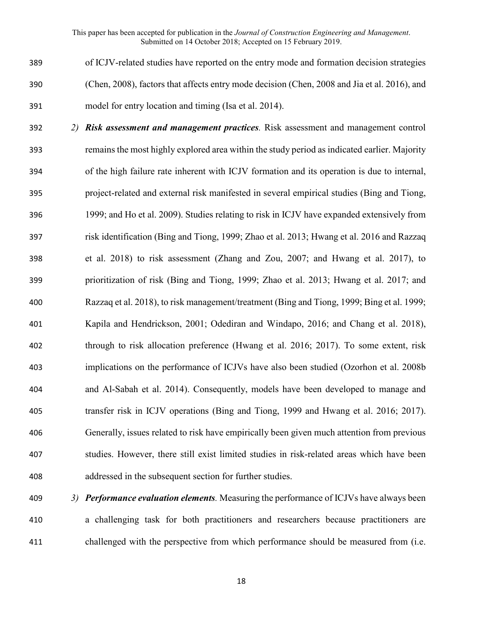- of ICJV-related studies have reported on the entry mode and formation decision strategies (Chen, 2008), factors that affects entry mode decision (Chen, 2008 and Jia et al. 2016), and model for entry location and timing (Isa et al. 2014).
- *2) Risk assessment and management practices.* Risk assessment and management control remains the most highly explored area within the study period as indicated earlier. Majority of the high failure rate inherent with ICJV formation and its operation is due to internal, project-related and external risk manifested in several empirical studies (Bing and Tiong, 1999; and Ho et al. 2009). Studies relating to risk in ICJV have expanded extensively from risk identification (Bing and Tiong, 1999; Zhao et al. 2013; Hwang et al. 2016 and Razzaq et al. 2018) to risk assessment (Zhang and Zou, 2007; and Hwang et al. 2017), to prioritization of risk (Bing and Tiong, 1999; Zhao et al. 2013; Hwang et al. 2017; and Razzaq et al. 2018), to risk management/treatment (Bing and Tiong, 1999; Bing et al. 1999; Kapila and Hendrickson, 2001; Odediran and Windapo, 2016; and Chang et al. 2018), through to risk allocation preference (Hwang et al. 2016; 2017). To some extent, risk implications on the performance of ICJVs have also been studied (Ozorhon et al. 2008b and Al-Sabah et al. 2014). Consequently, models have been developed to manage and transfer risk in ICJV operations (Bing and Tiong, 1999 and Hwang et al. 2016; 2017). Generally, issues related to risk have empirically been given much attention from previous studies. However, there still exist limited studies in risk-related areas which have been addressed in the subsequent section for further studies.
- *3) Performance evaluation elements.* Measuring the performance of ICJVs have always been a challenging task for both practitioners and researchers because practitioners are challenged with the perspective from which performance should be measured from (i.e.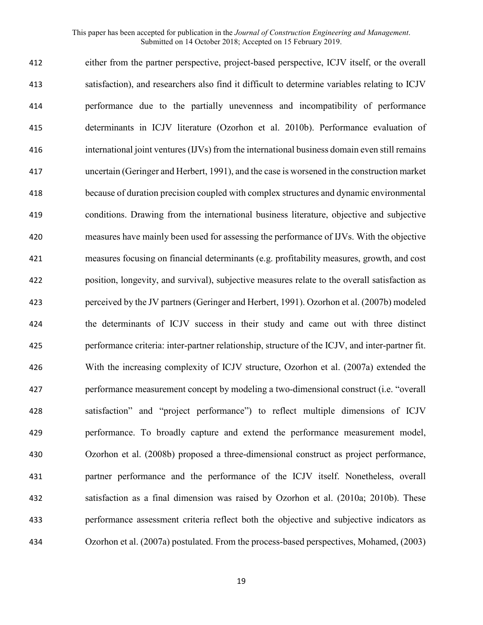either from the partner perspective, project-based perspective, ICJV itself, or the overall satisfaction), and researchers also find it difficult to determine variables relating to ICJV performance due to the partially unevenness and incompatibility of performance determinants in ICJV literature (Ozorhon et al. 2010b). Performance evaluation of international joint ventures (IJVs) from the international business domain even still remains uncertain (Geringer and Herbert, 1991), and the case is worsened in the construction market because of duration precision coupled with complex structures and dynamic environmental conditions. Drawing from the international business literature, objective and subjective measures have mainly been used for assessing the performance of IJVs. With the objective measures focusing on financial determinants (e.g. profitability measures, growth, and cost position, longevity, and survival), subjective measures relate to the overall satisfaction as perceived by the JV partners (Geringer and Herbert, 1991). Ozorhon et al. (2007b) modeled the determinants of ICJV success in their study and came out with three distinct performance criteria: inter-partner relationship, structure of the ICJV, and inter-partner fit. With the increasing complexity of ICJV structure, Ozorhon et al. (2007a) extended the performance measurement concept by modeling a two-dimensional construct (i.e. "overall satisfaction" and "project performance") to reflect multiple dimensions of ICJV performance. To broadly capture and extend the performance measurement model, Ozorhon et al. (2008b) proposed a three-dimensional construct as project performance, partner performance and the performance of the ICJV itself. Nonetheless, overall satisfaction as a final dimension was raised by Ozorhon et al. (2010a; 2010b). These performance assessment criteria reflect both the objective and subjective indicators as Ozorhon et al. (2007a) postulated. From the process-based perspectives, Mohamed, (2003)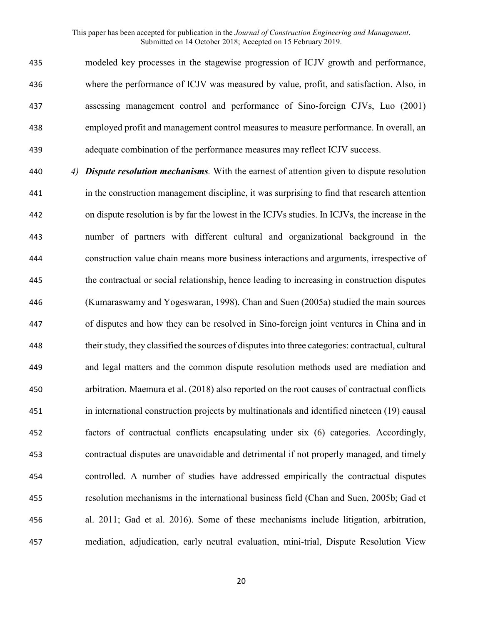modeled key processes in the stagewise progression of ICJV growth and performance, where the performance of ICJV was measured by value, profit, and satisfaction. Also, in assessing management control and performance of Sino-foreign CJVs, Luo (2001) employed profit and management control measures to measure performance. In overall, an adequate combination of the performance measures may reflect ICJV success.

 *4) Dispute resolution mechanisms.* With the earnest of attention given to dispute resolution in the construction management discipline, it was surprising to find that research attention on dispute resolution is by far the lowest in the ICJVs studies. In ICJVs, the increase in the number of partners with different cultural and organizational background in the construction value chain means more business interactions and arguments, irrespective of the contractual or social relationship, hence leading to increasing in construction disputes (Kumaraswamy and Yogeswaran, 1998). Chan and Suen (2005a) studied the main sources of disputes and how they can be resolved in Sino-foreign joint ventures in China and in their study, they classified the sources of disputes into three categories: contractual, cultural and legal matters and the common dispute resolution methods used are mediation and arbitration. Maemura et al. (2018) also reported on the root causes of contractual conflicts in international construction projects by multinationals and identified nineteen (19) causal factors of contractual conflicts encapsulating under six (6) categories. Accordingly, contractual disputes are unavoidable and detrimental if not properly managed, and timely controlled. A number of studies have addressed empirically the contractual disputes resolution mechanisms in the international business field (Chan and Suen, 2005b; Gad et al. 2011; Gad et al. 2016). Some of these mechanisms include litigation, arbitration, mediation, adjudication, early neutral evaluation, mini-trial, Dispute Resolution View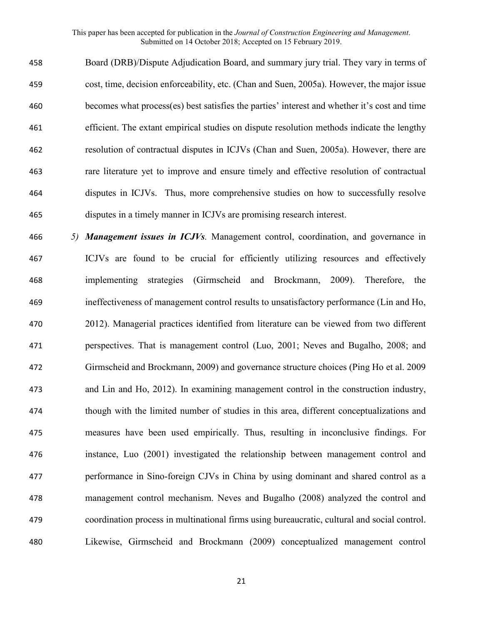Board (DRB)/Dispute Adjudication Board, and summary jury trial. They vary in terms of cost, time, decision enforceability, etc. (Chan and Suen, 2005a). However, the major issue becomes what process(es) best satisfies the parties' interest and whether it's cost and time efficient. The extant empirical studies on dispute resolution methods indicate the lengthy resolution of contractual disputes in ICJVs (Chan and Suen, 2005a). However, there are rare literature yet to improve and ensure timely and effective resolution of contractual disputes in ICJVs. Thus, more comprehensive studies on how to successfully resolve disputes in a timely manner in ICJVs are promising research interest.

 *5) Management issues in ICJVs.* Management control, coordination, and governance in ICJVs are found to be crucial for efficiently utilizing resources and effectively implementing strategies (Girmscheid and Brockmann, 2009). Therefore, the ineffectiveness of management control results to unsatisfactory performance (Lin and Ho, 2012). Managerial practices identified from literature can be viewed from two different perspectives. That is management control (Luo, 2001; Neves and Bugalho, 2008; and Girmscheid and Brockmann, 2009) and governance structure choices (Ping Ho et al. 2009 and Lin and Ho, 2012). In examining management control in the construction industry, though with the limited number of studies in this area, different conceptualizations and measures have been used empirically. Thus, resulting in inconclusive findings. For instance, Luo (2001) investigated the relationship between management control and performance in Sino-foreign CJVs in China by using dominant and shared control as a management control mechanism. Neves and Bugalho (2008) analyzed the control and coordination process in multinational firms using bureaucratic, cultural and social control. Likewise, Girmscheid and Brockmann (2009) conceptualized management control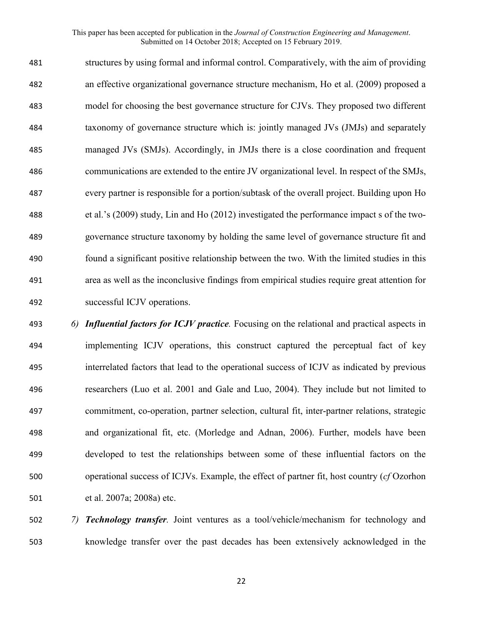structures by using formal and informal control. Comparatively, with the aim of providing an effective organizational governance structure mechanism, Ho et al. (2009) proposed a model for choosing the best governance structure for CJVs. They proposed two different taxonomy of governance structure which is: jointly managed JVs (JMJs) and separately managed JVs (SMJs). Accordingly, in JMJs there is a close coordination and frequent communications are extended to the entire JV organizational level. In respect of the SMJs, every partner is responsible for a portion/subtask of the overall project. Building upon Ho et al.'s (2009) study, Lin and Ho (2012) investigated the performance impact s of the two- governance structure taxonomy by holding the same level of governance structure fit and found a significant positive relationship between the two. With the limited studies in this area as well as the inconclusive findings from empirical studies require great attention for successful ICJV operations.

 *6) Influential factors for ICJV practice.* Focusing on the relational and practical aspects in implementing ICJV operations, this construct captured the perceptual fact of key interrelated factors that lead to the operational success of ICJV as indicated by previous researchers (Luo et al. 2001 and Gale and Luo, 2004). They include but not limited to commitment, co-operation, partner selection, cultural fit, inter-partner relations, strategic and organizational fit, etc. (Morledge and Adnan, 2006). Further, models have been developed to test the relationships between some of these influential factors on the operational success of ICJVs. Example, the effect of partner fit, host country (*cf* Ozorhon et al. 2007a; 2008a) etc.

 *7) Technology transfer.* Joint ventures as a tool/vehicle/mechanism for technology and knowledge transfer over the past decades has been extensively acknowledged in the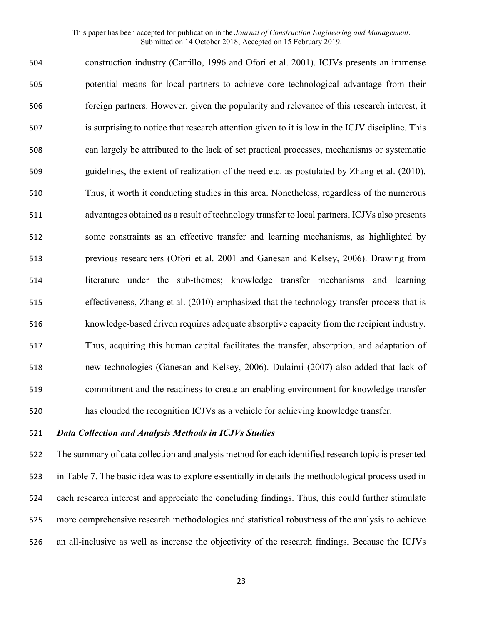construction industry (Carrillo, 1996 and Ofori et al. 2001). ICJVs presents an immense potential means for local partners to achieve core technological advantage from their foreign partners. However, given the popularity and relevance of this research interest, it is surprising to notice that research attention given to it is low in the ICJV discipline. This can largely be attributed to the lack of set practical processes, mechanisms or systematic guidelines, the extent of realization of the need etc. as postulated by Zhang et al. (2010). Thus, it worth it conducting studies in this area. Nonetheless, regardless of the numerous advantages obtained as a result of technology transfer to local partners, ICJVs also presents some constraints as an effective transfer and learning mechanisms, as highlighted by previous researchers (Ofori et al. 2001 and Ganesan and Kelsey, 2006). Drawing from literature under the sub-themes; knowledge transfer mechanisms and learning effectiveness, Zhang et al. (2010) emphasized that the technology transfer process that is knowledge-based driven requires adequate absorptive capacity from the recipient industry. Thus, acquiring this human capital facilitates the transfer, absorption, and adaptation of new technologies (Ganesan and Kelsey, 2006). Dulaimi (2007) also added that lack of commitment and the readiness to create an enabling environment for knowledge transfer has clouded the recognition ICJVs as a vehicle for achieving knowledge transfer.

# *Data Collection and Analysis Methods in ICJVs Studies*

 The summary of data collection and analysis method for each identified research topic is presented in Table 7. The basic idea was to explore essentially in details the methodological process used in each research interest and appreciate the concluding findings. Thus, this could further stimulate more comprehensive research methodologies and statistical robustness of the analysis to achieve an all-inclusive as well as increase the objectivity of the research findings. Because the ICJVs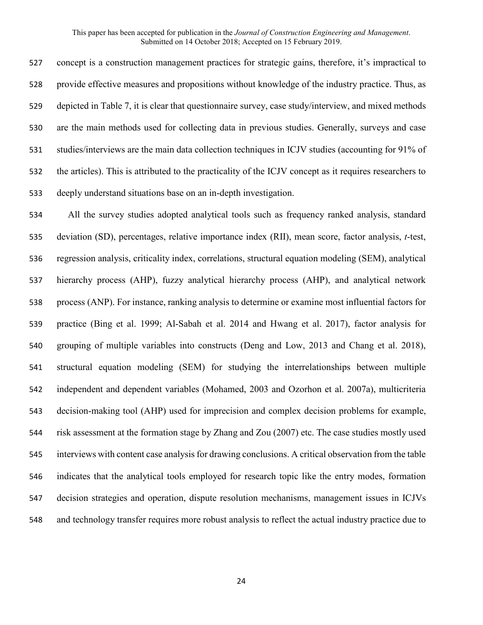concept is a construction management practices for strategic gains, therefore, it's impractical to provide effective measures and propositions without knowledge of the industry practice. Thus, as depicted in Table 7, it is clear that questionnaire survey, case study/interview, and mixed methods are the main methods used for collecting data in previous studies. Generally, surveys and case studies/interviews are the main data collection techniques in ICJV studies (accounting for 91% of the articles). This is attributed to the practicality of the ICJV concept as it requires researchers to deeply understand situations base on an in-depth investigation.

 All the survey studies adopted analytical tools such as frequency ranked analysis, standard deviation (SD), percentages, relative importance index (RII), mean score, factor analysis, *t*-test, regression analysis, criticality index, correlations, structural equation modeling (SEM), analytical hierarchy process (AHP), fuzzy analytical hierarchy process (AHP), and analytical network process (ANP). For instance, ranking analysis to determine or examine most influential factors for practice (Bing et al. 1999; Al-Sabah et al. 2014 and Hwang et al. 2017), factor analysis for grouping of multiple variables into constructs (Deng and Low, 2013 and Chang et al. 2018), structural equation modeling (SEM) for studying the interrelationships between multiple independent and dependent variables (Mohamed, 2003 and Ozorhon et al. 2007a), multicriteria decision-making tool (AHP) used for imprecision and complex decision problems for example, risk assessment at the formation stage by Zhang and Zou (2007) etc. The case studies mostly used interviews with content case analysis for drawing conclusions. A critical observation from the table indicates that the analytical tools employed for research topic like the entry modes, formation decision strategies and operation, dispute resolution mechanisms, management issues in ICJVs and technology transfer requires more robust analysis to reflect the actual industry practice due to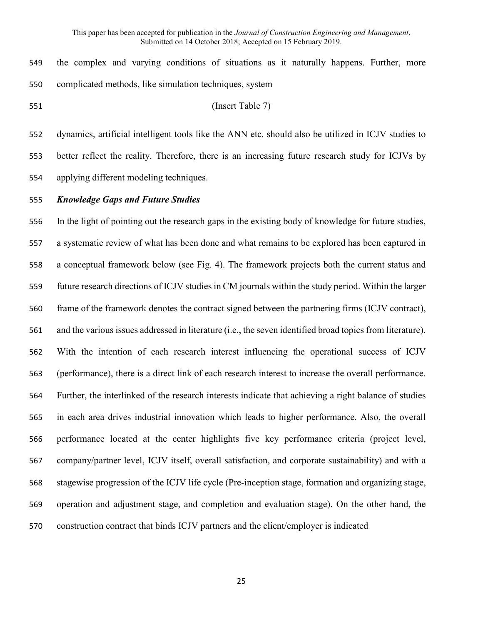the complex and varying conditions of situations as it naturally happens. Further, more complicated methods, like simulation techniques, system

# (Insert Table 7)

 dynamics, artificial intelligent tools like the ANN etc. should also be utilized in ICJV studies to better reflect the reality. Therefore, there is an increasing future research study for ICJVs by applying different modeling techniques.

# *Knowledge Gaps and Future Studies*

 In the light of pointing out the research gaps in the existing body of knowledge for future studies, a systematic review of what has been done and what remains to be explored has been captured in a conceptual framework below (see Fig. 4). The framework projects both the current status and future research directions of ICJV studies in CM journals within the study period. Within the larger frame of the framework denotes the contract signed between the partnering firms (ICJV contract), and the various issues addressed in literature (i.e., the seven identified broad topics from literature). With the intention of each research interest influencing the operational success of ICJV (performance), there is a direct link of each research interest to increase the overall performance. Further, the interlinked of the research interests indicate that achieving a right balance of studies in each area drives industrial innovation which leads to higher performance. Also, the overall performance located at the center highlights five key performance criteria (project level, company/partner level, ICJV itself, overall satisfaction, and corporate sustainability) and with a stagewise progression of the ICJV life cycle (Pre-inception stage, formation and organizing stage, operation and adjustment stage, and completion and evaluation stage). On the other hand, the construction contract that binds ICJV partners and the client/employer is indicated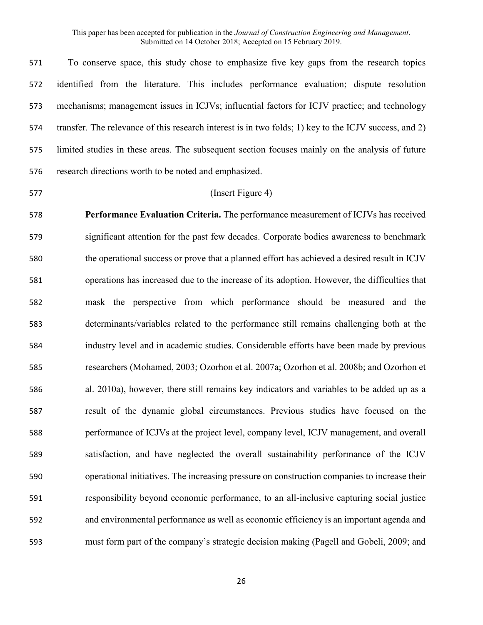To conserve space, this study chose to emphasize five key gaps from the research topics identified from the literature. This includes performance evaluation; dispute resolution mechanisms; management issues in ICJVs; influential factors for ICJV practice; and technology transfer. The relevance of this research interest is in two folds; 1) key to the ICJV success, and 2) limited studies in these areas. The subsequent section focuses mainly on the analysis of future research directions worth to be noted and emphasized.

## (Insert Figure 4)

 **Performance Evaluation Criteria.** The performance measurement of ICJVs has received significant attention for the past few decades. Corporate bodies awareness to benchmark the operational success or prove that a planned effort has achieved a desired result in ICJV operations has increased due to the increase of its adoption. However, the difficulties that mask the perspective from which performance should be measured and the determinants/variables related to the performance still remains challenging both at the industry level and in academic studies. Considerable efforts have been made by previous researchers (Mohamed, 2003; Ozorhon et al. 2007a; Ozorhon et al. 2008b; and Ozorhon et al. 2010a), however, there still remains key indicators and variables to be added up as a result of the dynamic global circumstances. Previous studies have focused on the performance of ICJVs at the project level, company level, ICJV management, and overall satisfaction, and have neglected the overall sustainability performance of the ICJV operational initiatives. The increasing pressure on construction companies to increase their responsibility beyond economic performance, to an all-inclusive capturing social justice and environmental performance as well as economic efficiency is an important agenda and must form part of the company's strategic decision making (Pagell and Gobeli, 2009; and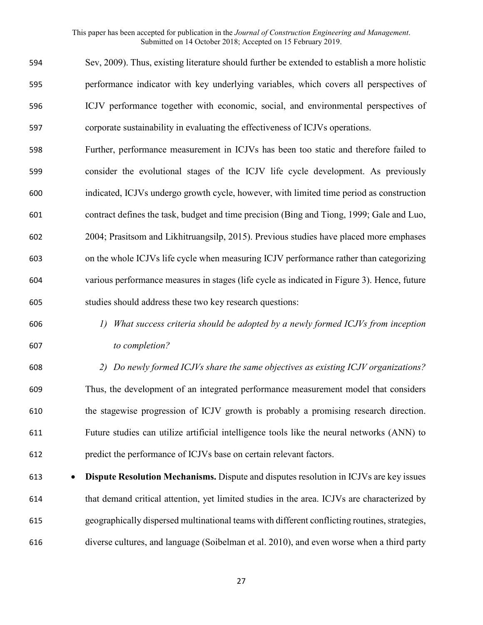Sev, 2009). Thus, existing literature should further be extended to establish a more holistic performance indicator with key underlying variables, which covers all perspectives of ICJV performance together with economic, social, and environmental perspectives of corporate sustainability in evaluating the effectiveness of ICJVs operations.

- Further, performance measurement in ICJVs has been too static and therefore failed to consider the evolutional stages of the ICJV life cycle development. As previously indicated, ICJVs undergo growth cycle, however, with limited time period as construction contract defines the task, budget and time precision (Bing and Tiong, 1999; Gale and Luo, 2004; Prasitsom and Likhitruangsilp, 2015). Previous studies have placed more emphases on the whole ICJVs life cycle when measuring ICJV performance rather than categorizing various performance measures in stages (life cycle as indicated in Figure 3). Hence, future studies should address these two key research questions:
- 
- *1) What success criteria should be adopted by a newly formed ICJVs from inception to completion?*
- *2) Do newly formed ICJVs share the same objectives as existing ICJV organizations?* Thus, the development of an integrated performance measurement model that considers the stagewise progression of ICJV growth is probably a promising research direction. Future studies can utilize artificial intelligence tools like the neural networks (ANN) to predict the performance of ICJVs base on certain relevant factors.
- **Dispute Resolution Mechanisms.** Dispute and disputes resolution in ICJVs are key issues that demand critical attention, yet limited studies in the area. ICJVs are characterized by geographically dispersed multinational teams with different conflicting routines, strategies, diverse cultures, and language (Soibelman et al. 2010), and even worse when a third party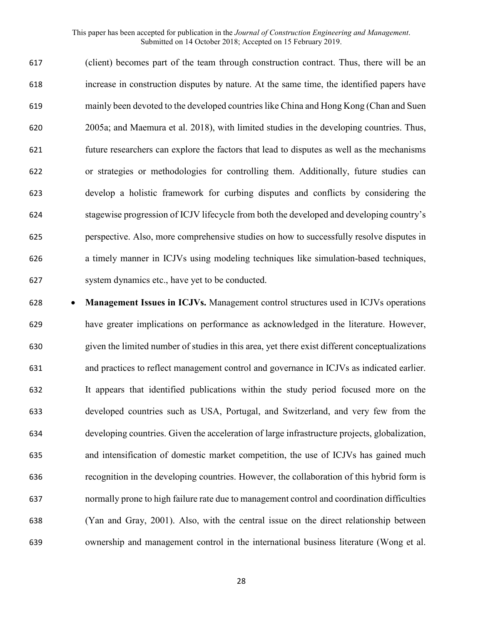(client) becomes part of the team through construction contract. Thus, there will be an increase in construction disputes by nature. At the same time, the identified papers have mainly been devoted to the developed countries like China and Hong Kong (Chan and Suen 2005a; and Maemura et al. 2018), with limited studies in the developing countries. Thus, future researchers can explore the factors that lead to disputes as well as the mechanisms or strategies or methodologies for controlling them. Additionally, future studies can develop a holistic framework for curbing disputes and conflicts by considering the stagewise progression of ICJV lifecycle from both the developed and developing country's perspective. Also, more comprehensive studies on how to successfully resolve disputes in a timely manner in ICJVs using modeling techniques like simulation-based techniques, system dynamics etc., have yet to be conducted.

 • **Management Issues in ICJVs.** Management control structures used in ICJVs operations have greater implications on performance as acknowledged in the literature. However, given the limited number of studies in this area, yet there exist different conceptualizations and practices to reflect management control and governance in ICJVs as indicated earlier. It appears that identified publications within the study period focused more on the developed countries such as USA, Portugal, and Switzerland, and very few from the developing countries. Given the acceleration of large infrastructure projects, globalization, and intensification of domestic market competition, the use of ICJVs has gained much recognition in the developing countries. However, the collaboration of this hybrid form is normally prone to high failure rate due to management control and coordination difficulties (Yan and Gray, 2001). Also, with the central issue on the direct relationship between ownership and management control in the international business literature (Wong et al.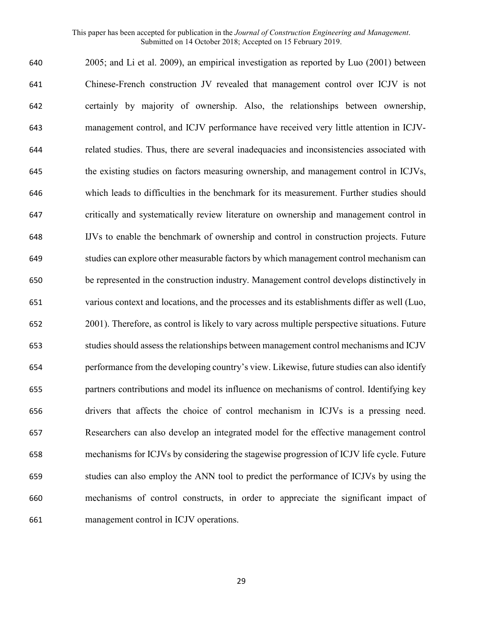2005; and Li et al. 2009), an empirical investigation as reported by Luo (2001) between Chinese-French construction JV revealed that management control over ICJV is not certainly by majority of ownership. Also, the relationships between ownership, management control, and ICJV performance have received very little attention in ICJV- related studies. Thus, there are several inadequacies and inconsistencies associated with the existing studies on factors measuring ownership, and management control in ICJVs, which leads to difficulties in the benchmark for its measurement. Further studies should critically and systematically review literature on ownership and management control in IJVs to enable the benchmark of ownership and control in construction projects. Future studies can explore other measurable factors by which management control mechanism can be represented in the construction industry. Management control develops distinctively in various context and locations, and the processes and its establishments differ as well (Luo, 2001). Therefore, as control is likely to vary across multiple perspective situations. Future studies should assess the relationships between management control mechanisms and ICJV performance from the developing country's view. Likewise, future studies can also identify partners contributions and model its influence on mechanisms of control. Identifying key drivers that affects the choice of control mechanism in ICJVs is a pressing need. Researchers can also develop an integrated model for the effective management control mechanisms for ICJVs by considering the stagewise progression of ICJV life cycle. Future studies can also employ the ANN tool to predict the performance of ICJVs by using the mechanisms of control constructs, in order to appreciate the significant impact of management control in ICJV operations.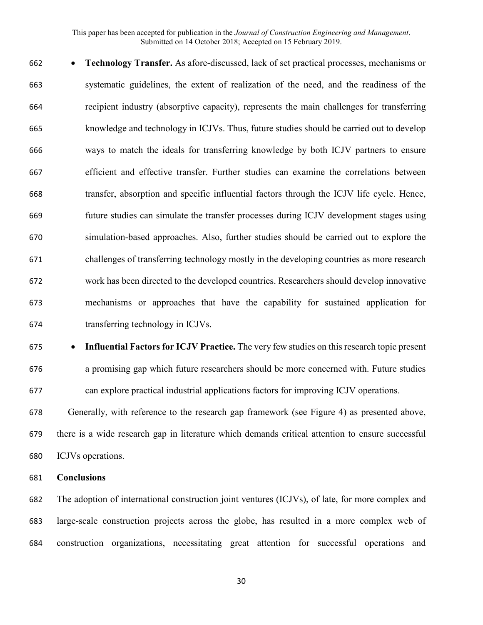• **Technology Transfer.** As afore-discussed, lack of set practical processes, mechanisms or systematic guidelines, the extent of realization of the need, and the readiness of the recipient industry (absorptive capacity), represents the main challenges for transferring knowledge and technology in ICJVs. Thus, future studies should be carried out to develop ways to match the ideals for transferring knowledge by both ICJV partners to ensure efficient and effective transfer. Further studies can examine the correlations between transfer, absorption and specific influential factors through the ICJV life cycle. Hence, future studies can simulate the transfer processes during ICJV development stages using simulation-based approaches. Also, further studies should be carried out to explore the challenges of transferring technology mostly in the developing countries as more research work has been directed to the developed countries. Researchers should develop innovative mechanisms or approaches that have the capability for sustained application for transferring technology in ICJVs.

 • **Influential Factors for ICJV Practice.** The very few studies on this research topic present a promising gap which future researchers should be more concerned with. Future studies can explore practical industrial applications factors for improving ICJV operations.

 Generally, with reference to the research gap framework (see Figure 4) as presented above, there is a wide research gap in literature which demands critical attention to ensure successful ICJVs operations.

# **Conclusions**

 The adoption of international construction joint ventures (ICJVs), of late, for more complex and large-scale construction projects across the globe, has resulted in a more complex web of construction organizations, necessitating great attention for successful operations and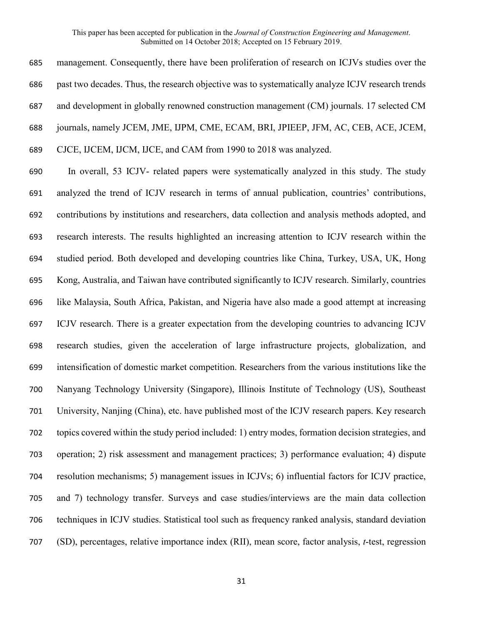management. Consequently, there have been proliferation of research on ICJVs studies over the past two decades. Thus, the research objective was to systematically analyze ICJV research trends and development in globally renowned construction management (CM) journals. 17 selected CM journals, namely JCEM, JME, IJPM, CME, ECAM, BRI, JPIEEP, JFM, AC, CEB, ACE, JCEM, CJCE, IJCEM, IJCM, IJCE, and CAM from 1990 to 2018 was analyzed.

 In overall, 53 ICJV- related papers were systematically analyzed in this study. The study analyzed the trend of ICJV research in terms of annual publication, countries' contributions, contributions by institutions and researchers, data collection and analysis methods adopted, and research interests. The results highlighted an increasing attention to ICJV research within the studied period. Both developed and developing countries like China, Turkey, USA, UK, Hong Kong, Australia, and Taiwan have contributed significantly to ICJV research. Similarly, countries like Malaysia, South Africa, Pakistan, and Nigeria have also made a good attempt at increasing ICJV research. There is a greater expectation from the developing countries to advancing ICJV research studies, given the acceleration of large infrastructure projects, globalization, and intensification of domestic market competition. Researchers from the various institutions like the Nanyang Technology University (Singapore), Illinois Institute of Technology (US), Southeast University, Nanjing (China), etc. have published most of the ICJV research papers. Key research topics covered within the study period included: 1) entry modes, formation decision strategies, and operation; 2) risk assessment and management practices; 3) performance evaluation; 4) dispute resolution mechanisms; 5) management issues in ICJVs; 6) influential factors for ICJV practice, and 7) technology transfer. Surveys and case studies/interviews are the main data collection techniques in ICJV studies. Statistical tool such as frequency ranked analysis, standard deviation (SD), percentages, relative importance index (RII), mean score, factor analysis, *t*-test, regression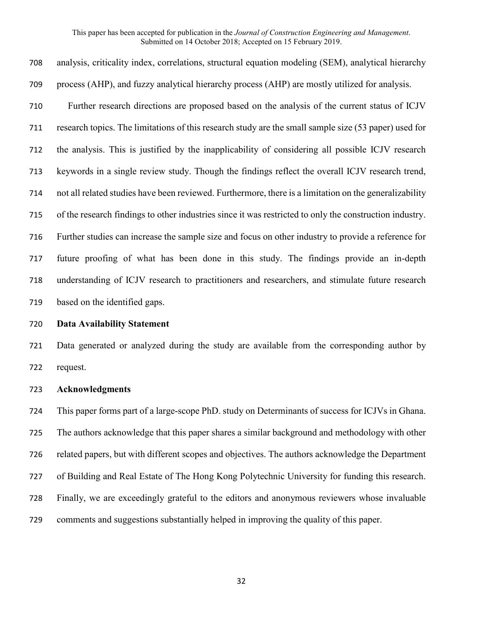analysis, criticality index, correlations, structural equation modeling (SEM), analytical hierarchy process (AHP), and fuzzy analytical hierarchy process (AHP) are mostly utilized for analysis. Further research directions are proposed based on the analysis of the current status of ICJV research topics. The limitations of this research study are the small sample size (53 paper) used for the analysis. This is justified by the inapplicability of considering all possible ICJV research keywords in a single review study. Though the findings reflect the overall ICJV research trend, not all related studies have been reviewed. Furthermore, there is a limitation on the generalizability of the research findings to other industries since it was restricted to only the construction industry. Further studies can increase the sample size and focus on other industry to provide a reference for future proofing of what has been done in this study. The findings provide an in-depth understanding of ICJV research to practitioners and researchers, and stimulate future research based on the identified gaps.

## **Data Availability Statement**

 Data generated or analyzed during the study are available from the corresponding author by request.

#### **Acknowledgments**

 This paper forms part of a large-scope PhD. study on Determinants of success for ICJVs in Ghana. The authors acknowledge that this paper shares a similar background and methodology with other related papers, but with different scopes and objectives. The authors acknowledge the Department of Building and Real Estate of The Hong Kong Polytechnic University for funding this research. Finally, we are exceedingly grateful to the editors and anonymous reviewers whose invaluable comments and suggestions substantially helped in improving the quality of this paper.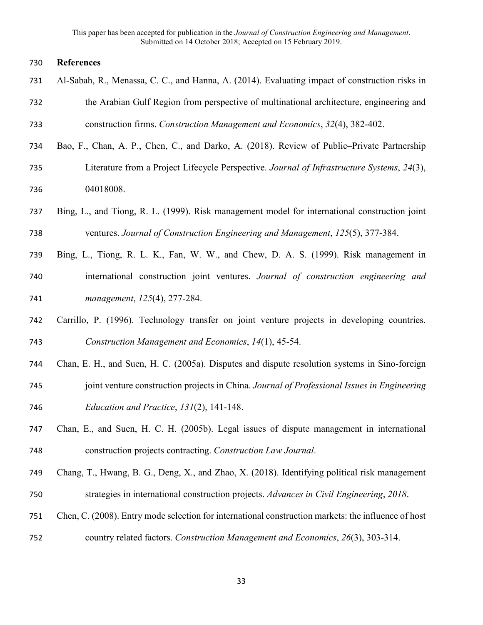# **References**

- Al-Sabah, R., Menassa, C. C., and Hanna, A. (2014). Evaluating impact of construction risks in the Arabian Gulf Region from perspective of multinational architecture, engineering and construction firms. *Construction Management and Economics*, *32*(4), 382-402.
- Bao, F., Chan, A. P., Chen, C., and Darko, A. (2018). Review of Public–Private Partnership
- Literature from a Project Lifecycle Perspective. *Journal of Infrastructure Systems*, *24*(3), 04018008.
- Bing, L., and Tiong, R. L. (1999). Risk management model for international construction joint ventures. *Journal of Construction Engineering and Management*, *125*(5), 377-384.
- Bing, L., Tiong, R. L. K., Fan, W. W., and Chew, D. A. S. (1999). Risk management in international construction joint ventures. *Journal of construction engineering and management*, *125*(4), 277-284.
- Carrillo, P. (1996). Technology transfer on joint venture projects in developing countries. *Construction Management and Economics*, *14*(1), 45-54.
- Chan, E. H., and Suen, H. C. (2005a). Disputes and dispute resolution systems in Sino-foreign joint venture construction projects in China. *Journal of Professional Issues in Engineering Education and Practice*, *131*(2), 141-148.
- Chan, E., and Suen, H. C. H. (2005b). Legal issues of dispute management in international construction projects contracting. *Construction Law Journal*.
- Chang, T., Hwang, B. G., Deng, X., and Zhao, X. (2018). Identifying political risk management strategies in international construction projects. *Advances in Civil Engineering*, *2018*.
- Chen, C. (2008). Entry mode selection for international construction markets: the influence of host country related factors. *Construction Management and Economics*, *26*(3), 303-314.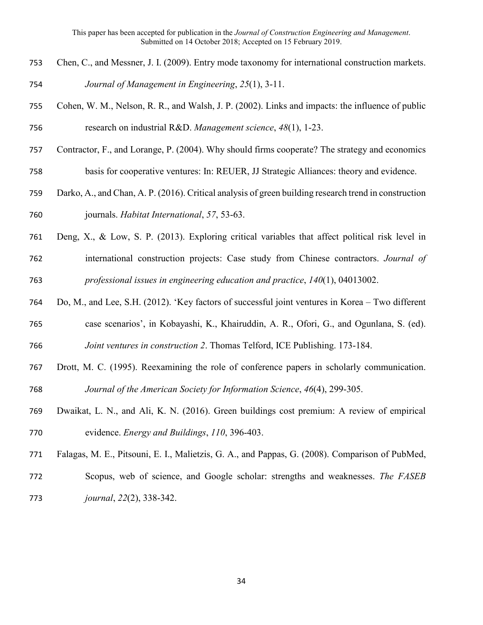- Chen, C., and Messner, J. I. (2009). Entry mode taxonomy for international construction markets. *Journal of Management in Engineering*, *25*(1), 3-11.
- Cohen, W. M., Nelson, R. R., and Walsh, J. P. (2002). Links and impacts: the influence of public research on industrial R&D. *Management science*, *48*(1), 1-23.
- Contractor, F., and Lorange, P. (2004). Why should firms cooperate? The strategy and economics basis for cooperative ventures: In: REUER, JJ Strategic Alliances: theory and evidence.
- Darko, A., and Chan, A. P. (2016). Critical analysis of green building research trend in construction journals. *Habitat International*, *57*, 53-63.
- Deng, X., & Low, S. P. (2013). Exploring critical variables that affect political risk level in international construction projects: Case study from Chinese contractors. *Journal of professional issues in engineering education and practice*, *140*(1), 04013002.
- Do, M., and Lee, S.H. (2012). 'Key factors of successful joint ventures in Korea Two different case scenarios', in Kobayashi, K., Khairuddin, A. R., Ofori, G., and Ogunlana, S. (ed). *Joint ventures in construction 2*. Thomas Telford, ICE Publishing. 173-184.
- Drott, M. C. (1995). Reexamining the role of conference papers in scholarly communication. *Journal of the American Society for Information Science*, *46*(4), 299-305.
- Dwaikat, L. N., and Ali, K. N. (2016). Green buildings cost premium: A review of empirical evidence. *Energy and Buildings*, *110*, 396-403.
- Falagas, M. E., Pitsouni, E. I., Malietzis, G. A., and Pappas, G. (2008). Comparison of PubMed,
- Scopus, web of science, and Google scholar: strengths and weaknesses. *The FASEB journal*, *22*(2), 338-342.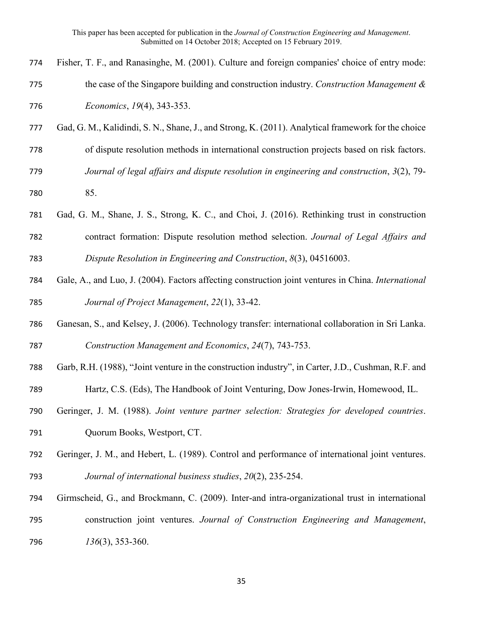- Fisher, T. F., and Ranasinghe, M. (2001). Culture and foreign companies' choice of entry mode: the case of the Singapore building and construction industry. *Construction Management & Economics*, *19*(4), 343-353.
- Gad, G. M., Kalidindi, S. N., Shane, J., and Strong, K. (2011). Analytical framework for the choice
- of dispute resolution methods in international construction projects based on risk factors.
- *Journal of legal affairs and dispute resolution in engineering and construction*, *3*(2), 79-
- 85.
- Gad, G. M., Shane, J. S., Strong, K. C., and Choi, J. (2016). Rethinking trust in construction contract formation: Dispute resolution method selection. *Journal of Legal Affairs and*
- *Dispute Resolution in Engineering and Construction*, *8*(3), 04516003.
- Gale, A., and Luo, J. (2004). Factors affecting construction joint ventures in China. *International Journal of Project Management*, *22*(1), 33-42.
- Ganesan, S., and Kelsey, J. (2006). Technology transfer: international collaboration in Sri Lanka. *Construction Management and Economics*, *24*(7), 743-753.
- Garb, R.H. (1988), "Joint venture in the construction industry", in Carter, J.D., Cushman, R.F. and
- Hartz, C.S. (Eds), The Handbook of Joint Venturing, Dow Jones-Irwin, Homewood, IL.
- Geringer, J. M. (1988). *Joint venture partner selection: Strategies for developed countries*. Quorum Books, Westport, CT.
- Geringer, J. M., and Hebert, L. (1989). Control and performance of international joint ventures. *Journal of international business studies*, *20*(2), 235-254.
- Girmscheid, G., and Brockmann, C. (2009). Inter-and intra-organizational trust in international construction joint ventures. *Journal of Construction Engineering and Management*, *136*(3), 353-360.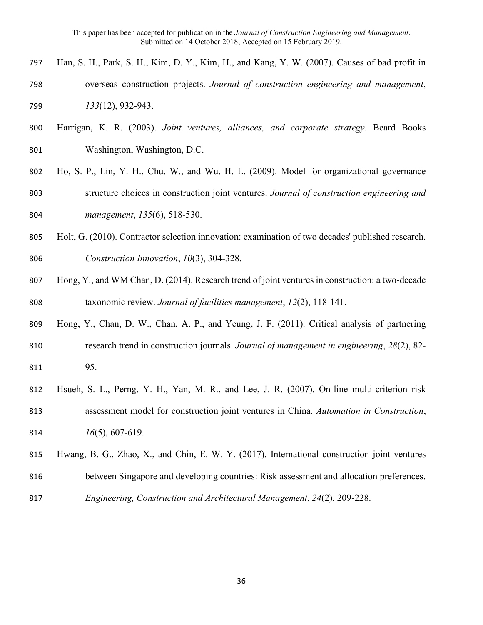- Han, S. H., Park, S. H., Kim, D. Y., Kim, H., and Kang, Y. W. (2007). Causes of bad profit in
- overseas construction projects. *Journal of construction engineering and management*, *133*(12), 932-943.
- Harrigan, K. R. (2003). *Joint ventures, alliances, and corporate strategy*. Beard Books Washington, Washington, D.C.
- Ho, S. P., Lin, Y. H., Chu, W., and Wu, H. L. (2009). Model for organizational governance structure choices in construction joint ventures. *Journal of construction engineering and management*, *135*(6), 518-530.
- Holt, G. (2010). Contractor selection innovation: examination of two decades' published research.
- *Construction Innovation*, *10*(3), 304-328.
- Hong, Y., and WM Chan, D. (2014). Research trend of joint ventures in construction: a two-decade taxonomic review. *Journal of facilities management*, *12*(2), 118-141.
- Hong, Y., Chan, D. W., Chan, A. P., and Yeung, J. F. (2011). Critical analysis of partnering
- research trend in construction journals. *Journal of management in engineering*, *28*(2), 82- 95.
- Hsueh, S. L., Perng, Y. H., Yan, M. R., and Lee, J. R. (2007). On-line multi-criterion risk assessment model for construction joint ventures in China. *Automation in Construction*, *16*(5), 607-619.
- Hwang, B. G., Zhao, X., and Chin, E. W. Y. (2017). International construction joint ventures between Singapore and developing countries: Risk assessment and allocation preferences.
- *Engineering, Construction and Architectural Management*, *24*(2), 209-228.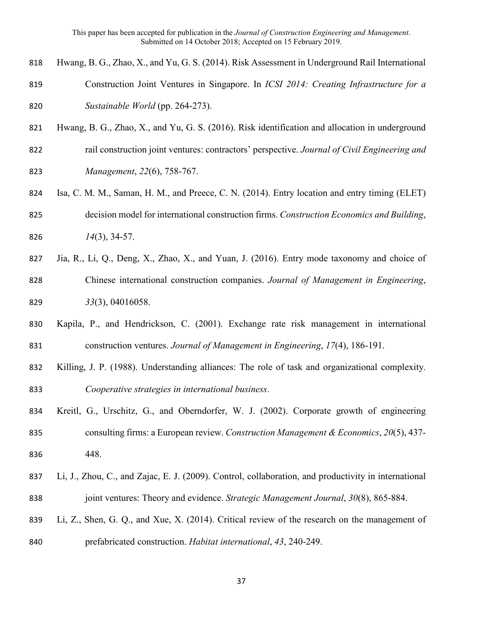- Hwang, B. G., Zhao, X., and Yu, G. S. (2014). Risk Assessment in Underground Rail International
- Construction Joint Ventures in Singapore. In *ICSI 2014: Creating Infrastructure for a Sustainable World* (pp. 264-273).
- Hwang, B. G., Zhao, X., and Yu, G. S. (2016). Risk identification and allocation in underground
- rail construction joint ventures: contractors' perspective. *Journal of Civil Engineering and Management*, *22*(6), 758-767.
- Isa, C. M. M., Saman, H. M., and Preece, C. N. (2014). Entry location and entry timing (ELET) decision model for international construction firms. *Construction Economics and Building*, *14*(3), 34-57.
- Jia, R., Li, Q., Deng, X., Zhao, X., and Yuan, J. (2016). Entry mode taxonomy and choice of Chinese international construction companies. *Journal of Management in Engineering*, *33*(3), 04016058.
- Kapila, P., and Hendrickson, C. (2001). Exchange rate risk management in international construction ventures. *Journal of Management in Engineering*, *17*(4), 186-191.
- Killing, J. P. (1988). Understanding alliances: The role of task and organizational complexity. *Cooperative strategies in international business*.
- Kreitl, G., Urschitz, G., and Oberndorfer, W. J. (2002). Corporate growth of engineering consulting firms: a European review. *Construction Management & Economics*, *20*(5), 437- 448.
- Li, J., Zhou, C., and Zajac, E. J. (2009). Control, collaboration, and productivity in international joint ventures: Theory and evidence. *Strategic Management Journal*, *30*(8), 865-884.
- Li, Z., Shen, G. Q., and Xue, X. (2014). Critical review of the research on the management of prefabricated construction. *Habitat international*, *43*, 240-249.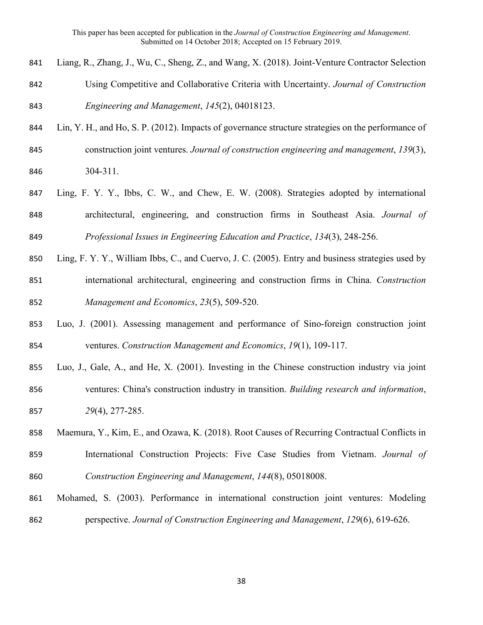- Liang, R., Zhang, J., Wu, C., Sheng, Z., and Wang, X. (2018). Joint-Venture Contractor Selection
- Using Competitive and Collaborative Criteria with Uncertainty. *Journal of Construction Engineering and Management*, *145*(2), 04018123.
- Lin, Y. H., and Ho, S. P. (2012). Impacts of governance structure strategies on the performance of
- construction joint ventures. *Journal of construction engineering and management*, *139*(3), 304-311.
- Ling, F. Y. Y., Ibbs, C. W., and Chew, E. W. (2008). Strategies adopted by international architectural, engineering, and construction firms in Southeast Asia. *Journal of Professional Issues in Engineering Education and Practice*, *134*(3), 248-256.
- Ling, F. Y. Y., William Ibbs, C., and Cuervo, J. C. (2005). Entry and business strategies used by
- international architectural, engineering and construction firms in China. *Construction Management and Economics*, *23*(5), 509-520.
- Luo, J. (2001). Assessing management and performance of Sino-foreign construction joint ventures. *Construction Management and Economics*, *19*(1), 109-117.
- Luo, J., Gale, A., and He, X. (2001). Investing in the Chinese construction industry via joint ventures: China's construction industry in transition. *Building research and information*, *29*(4), 277-285.
- Maemura, Y., Kim, E., and Ozawa, K. (2018). Root Causes of Recurring Contractual Conflicts in International Construction Projects: Five Case Studies from Vietnam. *Journal of Construction Engineering and Management*, *144*(8), 05018008.
- Mohamed, S. (2003). Performance in international construction joint ventures: Modeling perspective. *Journal of Construction Engineering and Management*, *129*(6), 619-626.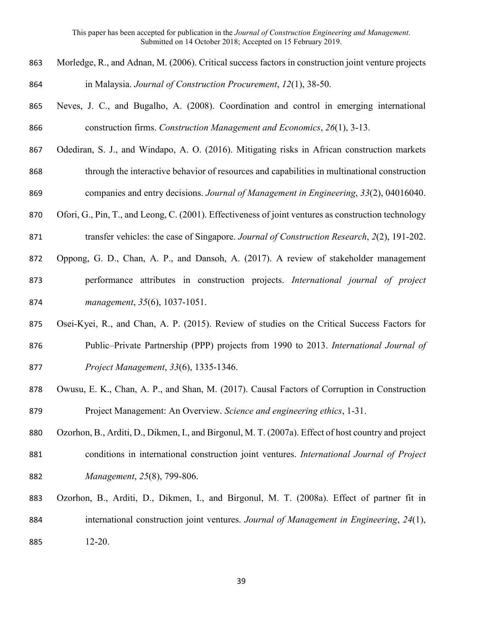- Morledge, R., and Adnan, M. (2006). Critical success factors in construction joint venture projects in Malaysia. *Journal of Construction Procurement*, *12*(1), 38-50.
- Neves, J. C., and Bugalho, A. (2008). Coordination and control in emerging international construction firms. *Construction Management and Economics*, *26*(1), 3-13.
- Odediran, S. J., and Windapo, A. O. (2016). Mitigating risks in African construction markets through the interactive behavior of resources and capabilities in multinational construction companies and entry decisions. *Journal of Management in Engineering*, *33*(2), 04016040.
- Ofori, G., Pin, T., and Leong, C. (2001). Effectiveness of joint ventures as construction technology transfer vehicles: the case of Singapore. *Journal of Construction Research*, *2*(2), 191-202.
- Oppong, G. D., Chan, A. P., and Dansoh, A. (2017). A review of stakeholder management
- performance attributes in construction projects. *International journal of project management*, *35*(6), 1037-1051.
- Osei-Kyei, R., and Chan, A. P. (2015). Review of studies on the Critical Success Factors for Public–Private Partnership (PPP) projects from 1990 to 2013. *International Journal of Project Management*, *33*(6), 1335-1346.
- Owusu, E. K., Chan, A. P., and Shan, M. (2017). Causal Factors of Corruption in Construction Project Management: An Overview. *Science and engineering ethics*, 1-31.
- Ozorhon, B., Arditi, D., Dikmen, I., and Birgonul, M. T. (2007a). Effect of host country and project conditions in international construction joint ventures. *International Journal of Project Management*, *25*(8), 799-806.
- Ozorhon, B., Arditi, D., Dikmen, I., and Birgonul, M. T. (2008a). Effect of partner fit in international construction joint ventures. *Journal of Management in Engineering*, *24*(1), 12-20.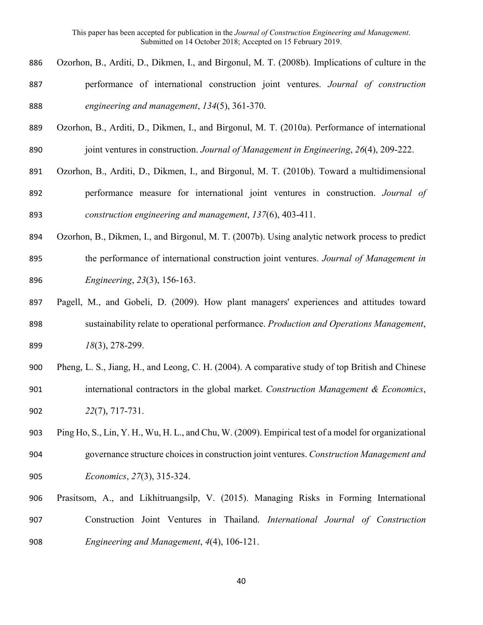- Ozorhon, B., Arditi, D., Dikmen, I., and Birgonul, M. T. (2008b). Implications of culture in the
- performance of international construction joint ventures. *Journal of construction engineering and management*, *134*(5), 361-370.
- Ozorhon, B., Arditi, D., Dikmen, I., and Birgonul, M. T. (2010a). Performance of international joint ventures in construction. *Journal of Management in Engineering*, *26*(4), 209-222.
- Ozorhon, B., Arditi, D., Dikmen, I., and Birgonul, M. T. (2010b). Toward a multidimensional
- performance measure for international joint ventures in construction. *Journal of construction engineering and management*, *137*(6), 403-411.
- Ozorhon, B., Dikmen, I., and Birgonul, M. T. (2007b). Using analytic network process to predict the performance of international construction joint ventures. *Journal of Management in Engineering*, *23*(3), 156-163.
- Pagell, M., and Gobeli, D. (2009). How plant managers' experiences and attitudes toward sustainability relate to operational performance. *Production and Operations Management*, *18*(3), 278-299.
- Pheng, L. S., Jiang, H., and Leong, C. H. (2004). A comparative study of top British and Chinese international contractors in the global market. *Construction Management & Economics*, *22*(7), 717-731.
- Ping Ho, S., Lin, Y. H., Wu, H. L., and Chu, W. (2009). Empirical test of a model for organizational governance structure choices in construction joint ventures. *Construction Management and Economics*, *27*(3), 315-324.
- Prasitsom, A., and Likhitruangsilp, V. (2015). Managing Risks in Forming International Construction Joint Ventures in Thailand. *International Journal of Construction Engineering and Management*, *4*(4), 106-121.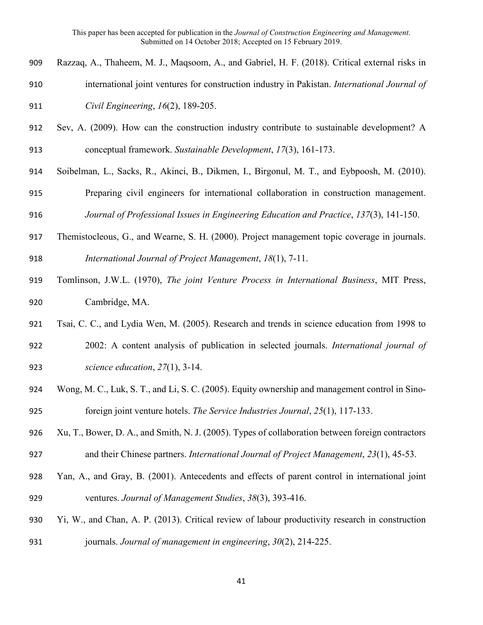- Razzaq, A., Thaheem, M. J., Maqsoom, A., and Gabriel, H. F. (2018). Critical external risks in
- international joint ventures for construction industry in Pakistan. *International Journal of*
- *Civil Engineering*, *16*(2), 189-205.
- Sev, A. (2009). How can the construction industry contribute to sustainable development? A conceptual framework. *Sustainable Development*, *17*(3), 161-173.
- Soibelman, L., Sacks, R., Akinci, B., Dikmen, I., Birgonul, M. T., and Eybpoosh, M. (2010).
- Preparing civil engineers for international collaboration in construction management. *Journal of Professional Issues in Engineering Education and Practice*, *137*(3), 141-150.
- Themistocleous, G., and Wearne, S. H. (2000). Project management topic coverage in journals. *International Journal of Project Management*, *18*(1), 7-11.
- Tomlinson, J.W.L. (1970), *The joint Venture Process in International Business*, MIT Press, Cambridge, MA.
- Tsai, C. C., and Lydia Wen, M. (2005). Research and trends in science education from 1998 to 2002: A content analysis of publication in selected journals. *International journal of*
- *science education*, *27*(1), 3-14.
- Wong, M. C., Luk, S. T., and Li, S. C. (2005). Equity ownership and management control in Sino-foreign joint venture hotels. *The Service Industries Journal*, *25*(1), 117-133.
- Xu, T., Bower, D. A., and Smith, N. J. (2005). Types of collaboration between foreign contractors and their Chinese partners. *International Journal of Project Management*, *23*(1), 45-53.
- Yan, A., and Gray, B. (2001). Antecedents and effects of parent control in international joint ventures. *Journal of Management Studies*, *38*(3), 393-416.
- Yi, W., and Chan, A. P. (2013). Critical review of labour productivity research in construction
- journals. *Journal of management in engineering*, *30*(2), 214-225.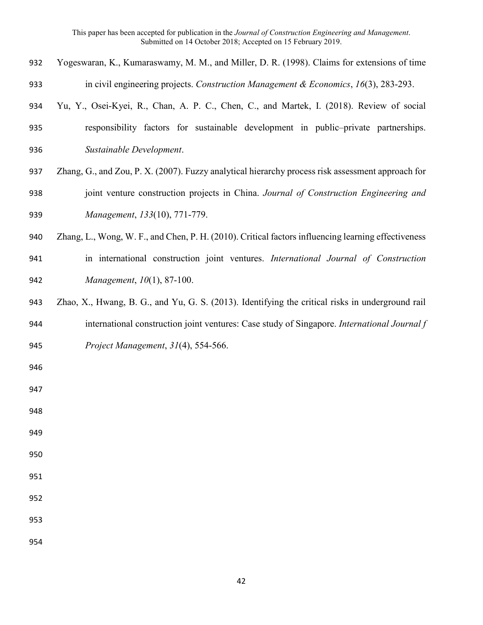- Yogeswaran, K., Kumaraswamy, M. M., and Miller, D. R. (1998). Claims for extensions of time in civil engineering projects. *Construction Management & Economics*, *16*(3), 283-293.
- Yu, Y., Osei‐Kyei, R., Chan, A. P. C., Chen, C., and Martek, I. (2018). Review of social
- responsibility factors for sustainable development in public–private partnerships. *Sustainable Development*.
- Zhang, G., and Zou, P. X. (2007). Fuzzy analytical hierarchy process risk assessment approach for
- joint venture construction projects in China. *Journal of Construction Engineering and Management*, *133*(10), 771-779.
- Zhang, L., Wong, W. F., and Chen, P. H. (2010). Critical factors influencing learning effectiveness
- in international construction joint ventures. *International Journal of Construction Management*, *10*(1), 87-100.
- Zhao, X., Hwang, B. G., and Yu, G. S. (2013). Identifying the critical risks in underground rail
- international construction joint ventures: Case study of Singapore. *International Journal f*
- *Project Management*, *31*(4), 554-566.
- 
- 
- 
- 
- 
- 
- 
- 
- 
-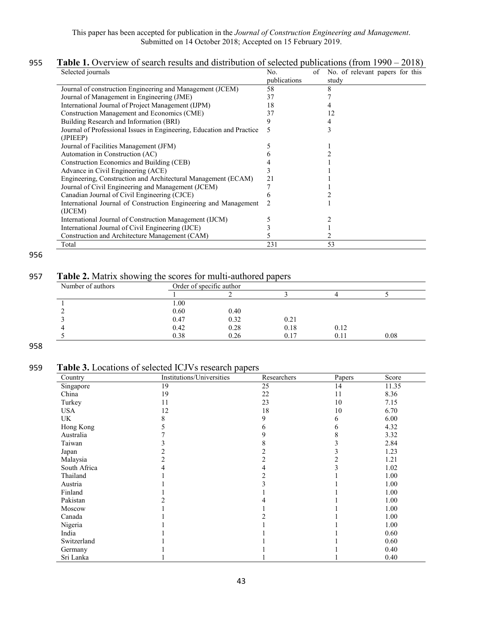955 Table 1. Overview of search results and distribution of selected publications (from 1990 – 2018)

| Selected journals                                                     | No.          | of | No. of relevant papers for this |
|-----------------------------------------------------------------------|--------------|----|---------------------------------|
|                                                                       | publications |    | study                           |
| Journal of construction Engineering and Management (JCEM)             | 58           |    |                                 |
| Journal of Management in Engineering (JME)                            | 37           |    |                                 |
| International Journal of Project Management (IJPM)                    | 18           |    |                                 |
| Construction Management and Economics (CME)                           | 37           |    |                                 |
| Building Research and Information (BRI)                               |              |    |                                 |
| Journal of Professional Issues in Engineering, Education and Practice |              |    |                                 |
| (JPIEEP)                                                              |              |    |                                 |
| Journal of Facilities Management (JFM)                                |              |    |                                 |
| Automation in Construction (AC)                                       |              |    |                                 |
| Construction Economics and Building (CEB)                             |              |    |                                 |
| Advance in Civil Engineering (ACE)                                    |              |    |                                 |
| Engineering, Construction and Architectural Management (ECAM)         | 21           |    |                                 |
| Journal of Civil Engineering and Management (JCEM)                    |              |    |                                 |
| Canadian Journal of Civil Engineering (CJCE)                          |              |    |                                 |
| International Journal of Construction Engineering and Management      |              |    |                                 |
| (IJCEM)                                                               |              |    |                                 |
| International Journal of Construction Management (IJCM)               |              |    |                                 |
| International Journal of Civil Engineering (IJCE)                     |              |    |                                 |
| Construction and Architecture Management (CAM)                        |              |    |                                 |
| Total                                                                 | 231          |    | 53                              |

956

# 957 **Table 2.** Matrix showing the scores for multi-authored papers

| Number of authors |      | Order of specific author |      |      |      |
|-------------------|------|--------------------------|------|------|------|
|                   |      |                          |      |      |      |
|                   | 00.1 |                          |      |      |      |
|                   | 0.60 | 0.40                     |      |      |      |
|                   | 0.47 | 0.32                     | 0.21 |      |      |
|                   | 0.42 | 0.28                     | 0.18 | 0.12 |      |
|                   | 0.38 | 0.26                     | 0.17 | 0.11 | 0.08 |

958

# 959 **Table 3.** Locations of selected ICJVs research papers

| Country      | Institutions/Universities | Researchers | Papers | Score |
|--------------|---------------------------|-------------|--------|-------|
| Singapore    | 19                        | 25          | 14     | 11.35 |
| China        | 19                        | 22          | 11     | 8.36  |
| Turkey       | 11                        | 23          | 10     | 7.15  |
| <b>USA</b>   | 12                        | 18          | 10     | 6.70  |
| UK           | 8                         | 9           | h      | 6.00  |
| Hong Kong    |                           | h           |        | 4.32  |
| Australia    |                           |             |        | 3.32  |
| Taiwan       |                           |             |        | 2.84  |
| Japan        |                           |             |        | 1.23  |
| Malaysia     |                           |             |        | 1.21  |
| South Africa |                           |             |        | 1.02  |
| Thailand     |                           |             |        | 1.00  |
| Austria      |                           |             |        | 1.00  |
| Finland      |                           |             |        | 1.00  |
| Pakistan     |                           |             |        | 1.00  |
| Moscow       |                           |             |        | 1.00  |
| Canada       |                           |             |        | 1.00  |
| Nigeria      |                           |             |        | 1.00  |
| India        |                           |             |        | 0.60  |
| Switzerland  |                           |             |        | 0.60  |
| Germany      |                           |             |        | 0.40  |
| Sri Lanka    |                           |             |        | 0.40  |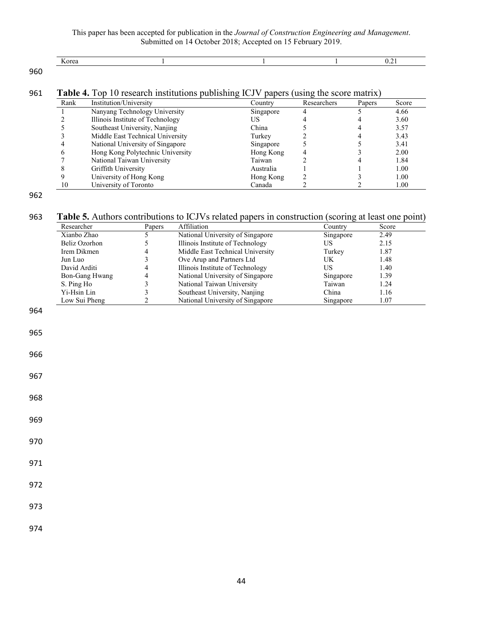961 Table 4. Top 10 research institutions publishing ICJV papers (using the score matrix)

| Rank | Institution/University           | Country   | Researchers | Papers | Score |
|------|----------------------------------|-----------|-------------|--------|-------|
|      | Nanyang Technology University    | Singapore |             |        | 4.66  |
|      | Illinois Institute of Technology | US        |             |        | 3.60  |
|      | Southeast University, Nanjing    | China     |             |        | 3.57  |
|      | Middle East Technical University | Turkey    |             |        | 3.43  |
|      | National University of Singapore | Singapore |             |        | 3.41  |
| h    | Hong Kong Polytechnic University | Hong Kong |             |        | 2.00  |
|      | National Taiwan University       | Taiwan    |             |        | 1.84  |
|      | Griffith University              | Australia |             |        | 1.00  |
|      | University of Hong Kong          | Hong Kong |             |        | 1.00  |
| 10   | University of Toronto            | Canada    |             |        | 1.00  |

**Table 5.** Authors contributions to ICJVs related papers in construction (scoring at least one point)

| Researcher            | Papers | Affiliation                      | Country   | Score |
|-----------------------|--------|----------------------------------|-----------|-------|
| Xianbo Zhao           |        | National University of Singapore | Singapore | 2.49  |
| Beliz Ozorhon         |        | Illinois Institute of Technology | US        | 2.15  |
| Irem Dikmen           |        | Middle East Technical University | Turkey    | 1.87  |
| Jun Luo               |        | Ove Arup and Partners Ltd        | UK        | 1.48  |
| David Arditi          |        | Illinois Institute of Technology | US        | 1.40  |
| <b>Bon-Gang Hwang</b> |        | National University of Singapore | Singapore | 1.39  |
| S. Ping Ho            |        | National Taiwan University       | Taiwan    | 1.24  |
| Yi-Hsin Lin           |        | Southeast University, Nanjing    | China     | 1.16  |
| Low Sui Pheng         |        | National University of Singapore | Singapore | 1.07  |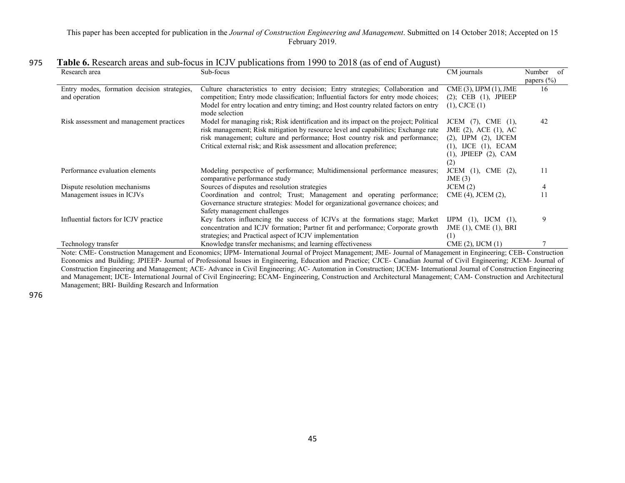|  | 975 Table 6. Research areas and sub-focus in ICJV publications from 1990 to 2018 (as of end of August) |  |  |  |
|--|--------------------------------------------------------------------------------------------------------|--|--|--|
|--|--------------------------------------------------------------------------------------------------------|--|--|--|

| Research area                               | Sub-focus                                                                                              | CM journals                           | Number<br>-of  |
|---------------------------------------------|--------------------------------------------------------------------------------------------------------|---------------------------------------|----------------|
|                                             |                                                                                                        |                                       | papers $(\% )$ |
| Entry modes, formation decision strategies, | Culture characteristics to entry decision; Entry strategies; Collaboration and                         | $CME(3)$ , IJPM $(1)$ , JME           | 16             |
| and operation                               | competition; Entry mode classification; Influential factors for entry mode choices;                    | $(2)$ ; CEB $(1)$ , JPIEEP            |                |
|                                             | Model for entry location and entry timing; and Host country related factors on entry<br>mode selection | $(1)$ , CJCE $(1)$                    |                |
| Risk assessment and management practices    | Model for managing risk; Risk identification and its impact on the project; Political                  | JCEM $(7)$ , CME $(1)$ ,              | 42             |
|                                             | risk management; Risk mitigation by resource level and capabilities; Exchange rate                     | JME (2), ACE (1), AC                  |                |
|                                             | risk management; culture and performance; Host country risk and performance;                           | $(2)$ , IJPM $(2)$ , IJCEM            |                |
|                                             | Critical external risk; and Risk assessment and allocation preference;                                 | $(1)$ , IJCE $(1)$ , ECAM             |                |
|                                             |                                                                                                        | $(1)$ , JPIEEP $(2)$ , CAM            |                |
|                                             |                                                                                                        | (2)                                   |                |
| Performance evaluation elements             | Modeling perspective of performance; Multidimensional performance measures;                            | $JCEM$ (1),<br>CME $(2)$ ,            | 11             |
|                                             | comparative performance study                                                                          | JME(3)                                |                |
| Dispute resolution mechanisms               | Sources of disputes and resolution strategies                                                          | JCEM(2)                               |                |
| Management issues in ICJVs                  | Coordination and control; Trust; Management and operating performance;                                 | CME (4), JCEM (2),                    |                |
|                                             | Governance structure strategies: Model for organizational governance choices; and                      |                                       |                |
|                                             | Safety management challenges                                                                           |                                       |                |
| Influential factors for ICJV practice       | Key factors influencing the success of ICJVs at the formations stage; Market                           | $IJPM$ (1),<br><b>IJCM</b><br>$(1)$ , | 9              |
|                                             | concentration and ICJV formation; Partner fit and performance; Corporate growth                        | JME (1), CME (1), BRI                 |                |
|                                             | strategies; and Practical aspect of ICJV implementation                                                | (1)                                   |                |
| Technology transfer                         | Knowledge transfer mechanisms; and learning effectiveness                                              | CME (2), IJCM (1)                     |                |

Note: CME- Construction Management and Economics; IJPM- International Journal of Project Management; JME- Journal of Management in Engineering; CEB- Construction Economics and Building; JPIEEP- Journal of Professional Issues in Engineering, Education and Practice; CJCE- Canadian Journal of Civil Engineering; JCEM- Journal of Construction Engineering and Management; ACE- Advance in Civil Engineering; AC- Automation in Construction; IJCEM- International Journal of Construction Engineering and Management; IJCE- International Journal of Civil Engineering; ECAM- Engineering, Construction and Architectural Management; CAM- Construction and Architectural Management; BRI- Building Research and Information